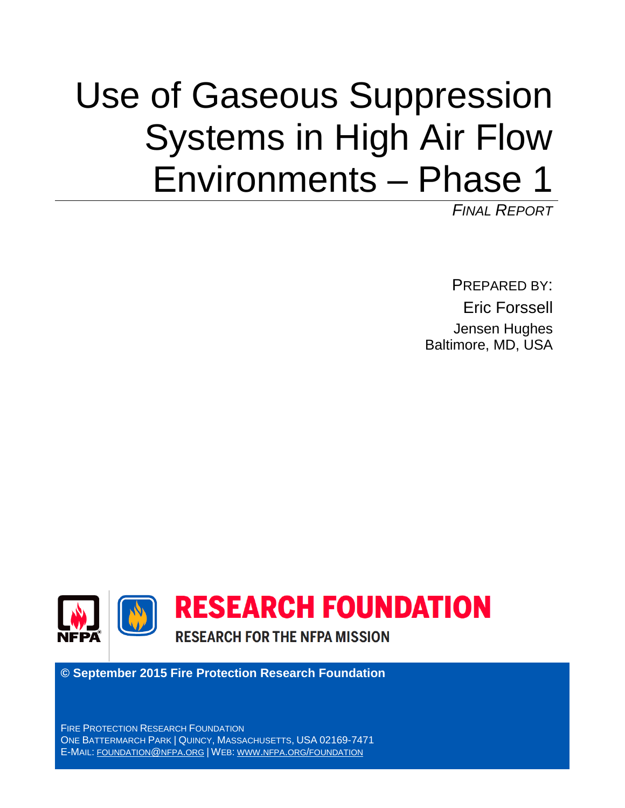# Use of Gaseous Suppression Systems in High Air Flow Environments – Phase 1

*FINAL REPORT*

PREPARED BY: Eric Forssell Jensen Hughes Baltimore, MD, USA



**© September 2015 Fire Protection Research Foundation**

FIRE PROTECTION RESEARCH FOUNDATION ONE BATTERMARCH PARK | QUINCY, MASSACHUSETTS, USA 02169-7471 E-MAIL: [FOUNDATION@NFPA.ORG](mailto:foundation@nfpa.org) | WEB: [WWW.NFPA.ORG/FOUNDATION](http://www.nfpa.org/foundation)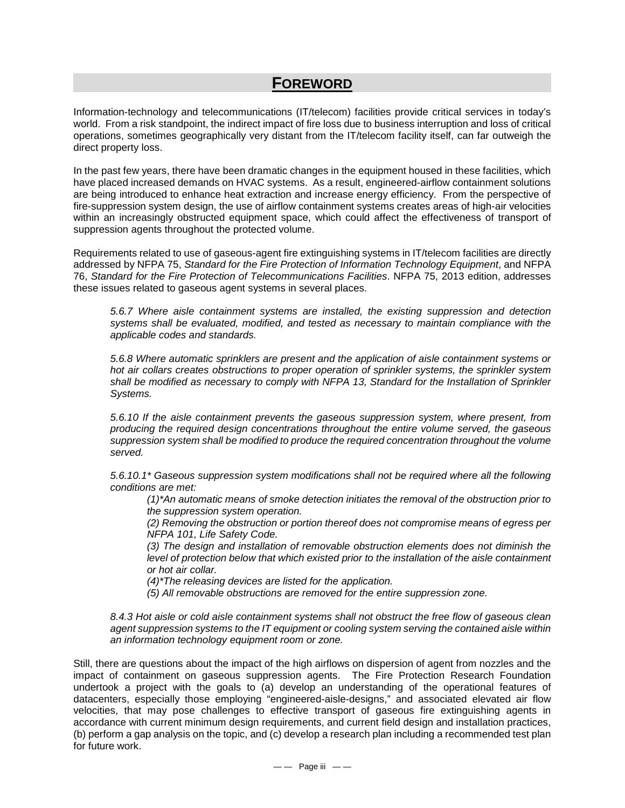# **FOREWORD**

Information-technology and telecommunications (IT/telecom) facilities provide critical services in today's world. From a risk standpoint, the indirect impact of fire loss due to business interruption and loss of critical operations, sometimes geographically very distant from the IT/telecom facility itself, can far outweigh the direct property loss.

In the past few years, there have been dramatic changes in the equipment housed in these facilities, which have placed increased demands on HVAC systems. As a result, engineered-airflow containment solutions are being introduced to enhance heat extraction and increase energy efficiency. From the perspective of fire-suppression system design, the use of airflow containment systems creates areas of high-air velocities within an increasingly obstructed equipment space, which could affect the effectiveness of transport of suppression agents throughout the protected volume.

Requirements related to use of gaseous-agent fire extinguishing systems in IT/telecom facilities are directly addressed by NFPA 75, *Standard for the Fire Protection of Information Technology Equipment*, and NFPA 76, *Standard for the Fire Protection of Telecommunications Facilities*. NFPA 75, 2013 edition, addresses these issues related to gaseous agent systems in several places.

*5.6.7 Where aisle containment systems are installed, the existing suppression and detection systems shall be evaluated, modified, and tested as necessary to maintain compliance with the applicable codes and standards.*

*5.6.8 Where automatic sprinklers are present and the application of aisle containment systems or hot air collars creates obstructions to proper operation of sprinkler systems, the sprinkler system*  shall be modified as necessary to comply with NFPA 13, Standard for the Installation of Sprinkler *Systems.*

*5.6.10 If the aisle containment prevents the gaseous suppression system, where present, from producing the required design concentrations throughout the entire volume served, the gaseous suppression system shall be modified to produce the required concentration throughout the volume served.*

*5.6.10.1\* Gaseous suppression system modifications shall not be required where all the following conditions are met:*

*(1)\*An automatic means of smoke detection initiates the removal of the obstruction prior to the suppression system operation.*

*(2) Removing the obstruction or portion thereof does not compromise means of egress per NFPA 101, Life Safety Code.*

*(3) The design and installation of removable obstruction elements does not diminish the level of protection below that which existed prior to the installation of the aisle containment or hot air collar.*

*(4)\*The releasing devices are listed for the application.*

*(5) All removable obstructions are removed for the entire suppression zone.*

*8.4.3 Hot aisle or cold aisle containment systems shall not obstruct the free flow of gaseous clean agent suppression systems to the IT equipment or cooling system serving the contained aisle within an information technology equipment room or zone.*

Still, there are questions about the impact of the high airflows on dispersion of agent from nozzles and the impact of containment on gaseous suppression agents. The Fire Protection Research Foundation undertook a project with the goals to (a) develop an understanding of the operational features of datacenters, especially those employing "engineered-aisle-designs," and associated elevated air flow velocities, that may pose challenges to effective transport of gaseous fire extinguishing agents in accordance with current minimum design requirements, and current field design and installation practices, (b) perform a gap analysis on the topic, and (c) develop a research plan including a recommended test plan for future work.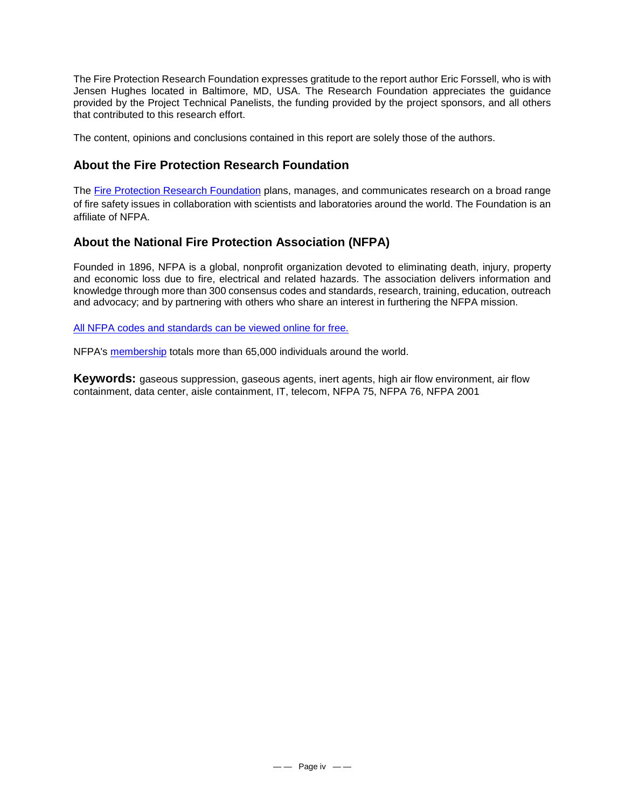The Fire Protection Research Foundation expresses gratitude to the report author Eric Forssell, who is with Jensen Hughes located in Baltimore, MD, USA. The Research Foundation appreciates the guidance provided by the Project Technical Panelists, the funding provided by the project sponsors, and all others that contributed to this research effort.

The content, opinions and conclusions contained in this report are solely those of the authors.

# **About the Fire Protection Research Foundation**

The [Fire Protection Research Foundation](http://www.nfpa.org/foundation) plans, manages, and communicates research on a broad range of fire safety issues in collaboration with scientists and laboratories around the world. The Foundation is an affiliate of NFPA.

# **About the National Fire Protection Association (NFPA)**

Founded in 1896, NFPA is a global, nonprofit organization devoted to eliminating death, injury, property and economic loss due to fire, electrical and related hazards. The association delivers information and knowledge through more than 300 consensus codes and standards, research, training, education, outreach and advocacy; and by partnering with others who share an interest in furthering the NFPA mission.

[All NFPA codes and standards can be viewed online for free.](http://www.nfpa.org/codes-and-standards/free-access)

NFPA's [membership](http://www.nfpa.org/member-access) totals more than 65,000 individuals around the world.

**Keywords:** gaseous suppression, gaseous agents, inert agents, high air flow environment, air flow containment, data center, aisle containment, IT, telecom, NFPA 75, NFPA 76, NFPA 2001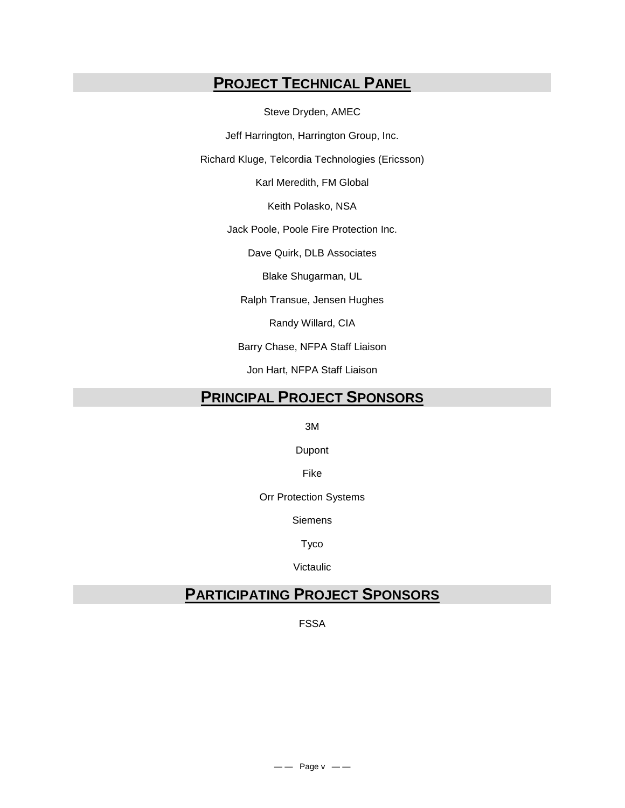# **PROJECT TECHNICAL PANEL**

Steve Dryden, AMEC

Jeff Harrington, Harrington Group, Inc.

Richard Kluge, Telcordia Technologies (Ericsson)

Karl Meredith, FM Global

Keith Polasko, NSA

Jack Poole, Poole Fire Protection Inc.

Dave Quirk, DLB Associates

Blake Shugarman, UL

Ralph Transue, Jensen Hughes

Randy Willard, CIA

Barry Chase, NFPA Staff Liaison

Jon Hart, NFPA Staff Liaison

# **PRINCIPAL PROJECT SPONSORS**

3M

Dupont

Fike

Orr Protection Systems

Siemens

Tyco

Victaulic

# **PARTICIPATING PROJECT SPONSORS**

FSSA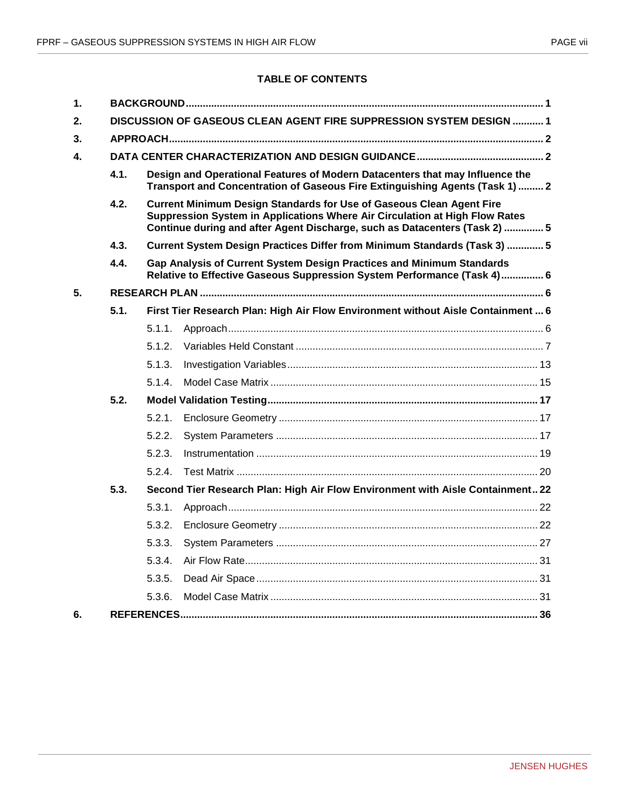## **TABLE OF CONTENTS**

| $\mathbf 1$ . |      |        |                                                                                                                                                                                                                                          |  |
|---------------|------|--------|------------------------------------------------------------------------------------------------------------------------------------------------------------------------------------------------------------------------------------------|--|
| 2.            |      |        | DISCUSSION OF GASEOUS CLEAN AGENT FIRE SUPPRESSION SYSTEM DESIGN  1                                                                                                                                                                      |  |
| 3.            |      |        |                                                                                                                                                                                                                                          |  |
| 4.            |      |        |                                                                                                                                                                                                                                          |  |
|               | 4.1. |        | Design and Operational Features of Modern Datacenters that may Influence the<br>Transport and Concentration of Gaseous Fire Extinguishing Agents (Task 1)  2                                                                             |  |
|               | 4.2. |        | <b>Current Minimum Design Standards for Use of Gaseous Clean Agent Fire</b><br>Suppression System in Applications Where Air Circulation at High Flow Rates<br>Continue during and after Agent Discharge, such as Datacenters (Task 2)  5 |  |
|               | 4.3. |        | Current System Design Practices Differ from Minimum Standards (Task 3)  5                                                                                                                                                                |  |
|               | 4.4. |        | Gap Analysis of Current System Design Practices and Minimum Standards<br>Relative to Effective Gaseous Suppression System Performance (Task 4) 6                                                                                         |  |
| 5.            |      |        |                                                                                                                                                                                                                                          |  |
|               | 5.1. |        | First Tier Research Plan: High Air Flow Environment without Aisle Containment  6                                                                                                                                                         |  |
|               |      | 5.1.1. |                                                                                                                                                                                                                                          |  |
|               |      | 5.1.2. |                                                                                                                                                                                                                                          |  |
|               |      | 5.1.3. |                                                                                                                                                                                                                                          |  |
|               |      | 5.1.4  |                                                                                                                                                                                                                                          |  |
|               | 5.2. |        |                                                                                                                                                                                                                                          |  |
|               |      | 5.2.1. |                                                                                                                                                                                                                                          |  |
|               |      | 5.2.2. |                                                                                                                                                                                                                                          |  |
|               |      | 5.2.3. |                                                                                                                                                                                                                                          |  |
|               |      | 5.2.4. |                                                                                                                                                                                                                                          |  |
|               | 5.3. |        | Second Tier Research Plan: High Air Flow Environment with Aisle Containment 22                                                                                                                                                           |  |
|               |      | 5.3.1. |                                                                                                                                                                                                                                          |  |
|               |      | 5.3.2. |                                                                                                                                                                                                                                          |  |
|               |      | 5.3.3. |                                                                                                                                                                                                                                          |  |
|               |      | 5.3.4. |                                                                                                                                                                                                                                          |  |
|               |      | 5.3.5. |                                                                                                                                                                                                                                          |  |
|               |      | 5.3.6. |                                                                                                                                                                                                                                          |  |
| 6.            |      |        |                                                                                                                                                                                                                                          |  |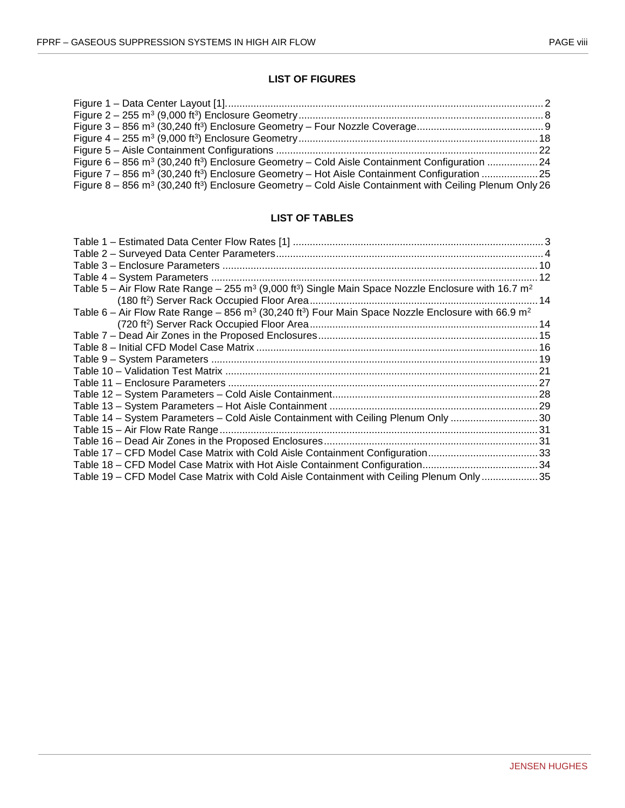## **LIST OF FIGURES**

| Figure $6-856$ m <sup>3</sup> (30,240 ft <sup>3</sup> ) Enclosure Geometry – Cold Aisle Containment Configuration 24            |  |
|---------------------------------------------------------------------------------------------------------------------------------|--|
|                                                                                                                                 |  |
| Figure $8-856$ m <sup>3</sup> (30,240 ft <sup>3</sup> ) Enclosure Geometry - Cold Aisle Containment with Ceiling Plenum Only 26 |  |

#### **LIST OF TABLES**

| Table 5 – Air Flow Rate Range – 255 m <sup>3</sup> (9,000 ft <sup>3</sup> ) Single Main Space Nozzle Enclosure with 16.7 m <sup>2</sup> |  |
|-----------------------------------------------------------------------------------------------------------------------------------------|--|
|                                                                                                                                         |  |
| Table 6 – Air Flow Rate Range – 856 m <sup>3</sup> (30,240 ft <sup>3</sup> ) Four Main Space Nozzle Enclosure with 66.9 m <sup>2</sup>  |  |
|                                                                                                                                         |  |
|                                                                                                                                         |  |
|                                                                                                                                         |  |
|                                                                                                                                         |  |
|                                                                                                                                         |  |
|                                                                                                                                         |  |
|                                                                                                                                         |  |
|                                                                                                                                         |  |
| Table 14 - System Parameters - Cold Aisle Containment with Ceiling Plenum Only 30                                                       |  |
|                                                                                                                                         |  |
|                                                                                                                                         |  |
| Table 17 - CFD Model Case Matrix with Cold Aisle Containment Configuration33                                                            |  |
|                                                                                                                                         |  |
| Table 19 – CFD Model Case Matrix with Cold Aisle Containment with Ceiling Plenum Only35                                                 |  |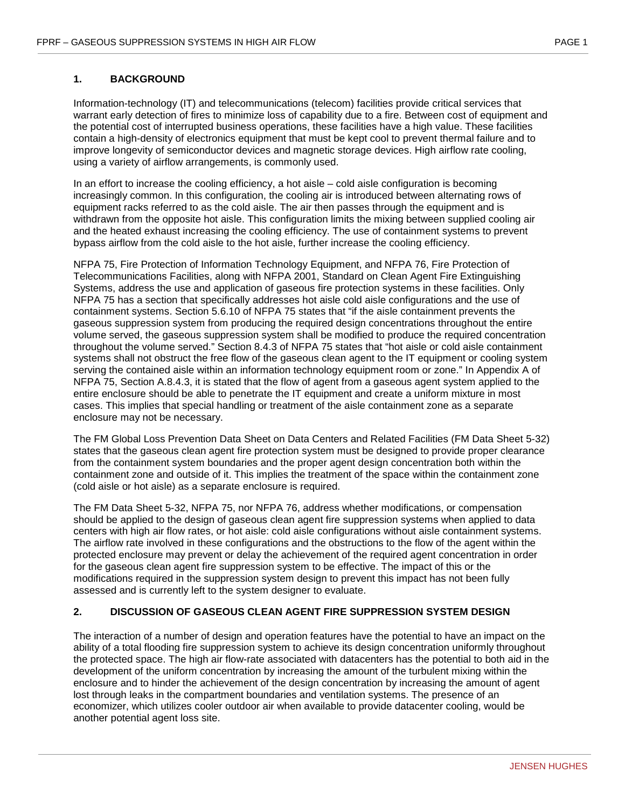#### <span id="page-8-0"></span>**1. BACKGROUND**

Information-technology (IT) and telecommunications (telecom) facilities provide critical services that warrant early detection of fires to minimize loss of capability due to a fire. Between cost of equipment and the potential cost of interrupted business operations, these facilities have a high value. These facilities contain a high-density of electronics equipment that must be kept cool to prevent thermal failure and to improve longevity of semiconductor devices and magnetic storage devices. High airflow rate cooling, using a variety of airflow arrangements, is commonly used.

In an effort to increase the cooling efficiency, a hot aisle – cold aisle configuration is becoming increasingly common. In this configuration, the cooling air is introduced between alternating rows of equipment racks referred to as the cold aisle. The air then passes through the equipment and is withdrawn from the opposite hot aisle. This configuration limits the mixing between supplied cooling air and the heated exhaust increasing the cooling efficiency. The use of containment systems to prevent bypass airflow from the cold aisle to the hot aisle, further increase the cooling efficiency.

NFPA 75, Fire Protection of Information Technology Equipment, and NFPA 76, Fire Protection of Telecommunications Facilities, along with NFPA 2001, Standard on Clean Agent Fire Extinguishing Systems, address the use and application of gaseous fire protection systems in these facilities. Only NFPA 75 has a section that specifically addresses hot aisle cold aisle configurations and the use of containment systems. Section 5.6.10 of NFPA 75 states that "if the aisle containment prevents the gaseous suppression system from producing the required design concentrations throughout the entire volume served, the gaseous suppression system shall be modified to produce the required concentration throughout the volume served." Section 8.4.3 of NFPA 75 states that "hot aisle or cold aisle containment systems shall not obstruct the free flow of the gaseous clean agent to the IT equipment or cooling system serving the contained aisle within an information technology equipment room or zone." In Appendix A of NFPA 75, Section A.8.4.3, it is stated that the flow of agent from a gaseous agent system applied to the entire enclosure should be able to penetrate the IT equipment and create a uniform mixture in most cases. This implies that special handling or treatment of the aisle containment zone as a separate enclosure may not be necessary.

The FM Global Loss Prevention Data Sheet on Data Centers and Related Facilities (FM Data Sheet 5-32) states that the gaseous clean agent fire protection system must be designed to provide proper clearance from the containment system boundaries and the proper agent design concentration both within the containment zone and outside of it. This implies the treatment of the space within the containment zone (cold aisle or hot aisle) as a separate enclosure is required.

The FM Data Sheet 5-32, NFPA 75, nor NFPA 76, address whether modifications, or compensation should be applied to the design of gaseous clean agent fire suppression systems when applied to data centers with high air flow rates, or hot aisle: cold aisle configurations without aisle containment systems. The airflow rate involved in these configurations and the obstructions to the flow of the agent within the protected enclosure may prevent or delay the achievement of the required agent concentration in order for the gaseous clean agent fire suppression system to be effective. The impact of this or the modifications required in the suppression system design to prevent this impact has not been fully assessed and is currently left to the system designer to evaluate.

#### <span id="page-8-1"></span>**2. DISCUSSION OF GASEOUS CLEAN AGENT FIRE SUPPRESSION SYSTEM DESIGN**

The interaction of a number of design and operation features have the potential to have an impact on the ability of a total flooding fire suppression system to achieve its design concentration uniformly throughout the protected space. The high air flow-rate associated with datacenters has the potential to both aid in the development of the uniform concentration by increasing the amount of the turbulent mixing within the enclosure and to hinder the achievement of the design concentration by increasing the amount of agent lost through leaks in the compartment boundaries and ventilation systems. The presence of an economizer, which utilizes cooler outdoor air when available to provide datacenter cooling, would be another potential agent loss site.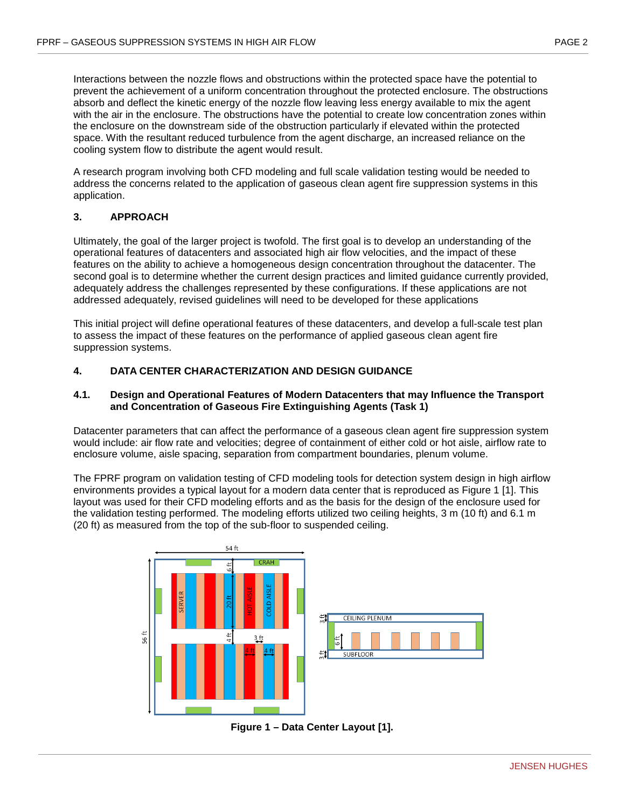Interactions between the nozzle flows and obstructions within the protected space have the potential to prevent the achievement of a uniform concentration throughout the protected enclosure. The obstructions absorb and deflect the kinetic energy of the nozzle flow leaving less energy available to mix the agent with the air in the enclosure. The obstructions have the potential to create low concentration zones within the enclosure on the downstream side of the obstruction particularly if elevated within the protected space. With the resultant reduced turbulence from the agent discharge, an increased reliance on the cooling system flow to distribute the agent would result.

A research program involving both CFD modeling and full scale validation testing would be needed to address the concerns related to the application of gaseous clean agent fire suppression systems in this application.

## <span id="page-9-0"></span>**3. APPROACH**

Ultimately, the goal of the larger project is twofold. The first goal is to develop an understanding of the operational features of datacenters and associated high air flow velocities, and the impact of these features on the ability to achieve a homogeneous design concentration throughout the datacenter. The second goal is to determine whether the current design practices and limited guidance currently provided, adequately address the challenges represented by these configurations. If these applications are not addressed adequately, revised guidelines will need to be developed for these applications

This initial project will define operational features of these datacenters, and develop a full-scale test plan to assess the impact of these features on the performance of applied gaseous clean agent fire suppression systems.

## <span id="page-9-1"></span>**4. DATA CENTER CHARACTERIZATION AND DESIGN GUIDANCE**

#### <span id="page-9-2"></span>**4.1. Design and Operational Features of Modern Datacenters that may Influence the Transport and Concentration of Gaseous Fire Extinguishing Agents (Task 1)**

Datacenter parameters that can affect the performance of a gaseous clean agent fire suppression system would include: air flow rate and velocities; degree of containment of either cold or hot aisle, airflow rate to enclosure volume, aisle spacing, separation from compartment boundaries, plenum volume.

The FPRF program on validation testing of CFD modeling tools for detection system design in high airflow environments provides a typical layout for a modern data center that is reproduced as Figure 1 [1]. This layout was used for their CFD modeling efforts and as the basis for the design of the enclosure used for the validation testing performed. The modeling efforts utilized two ceiling heights, 3 m (10 ft) and 6.1 m (20 ft) as measured from the top of the sub-floor to suspended ceiling.



<span id="page-9-3"></span>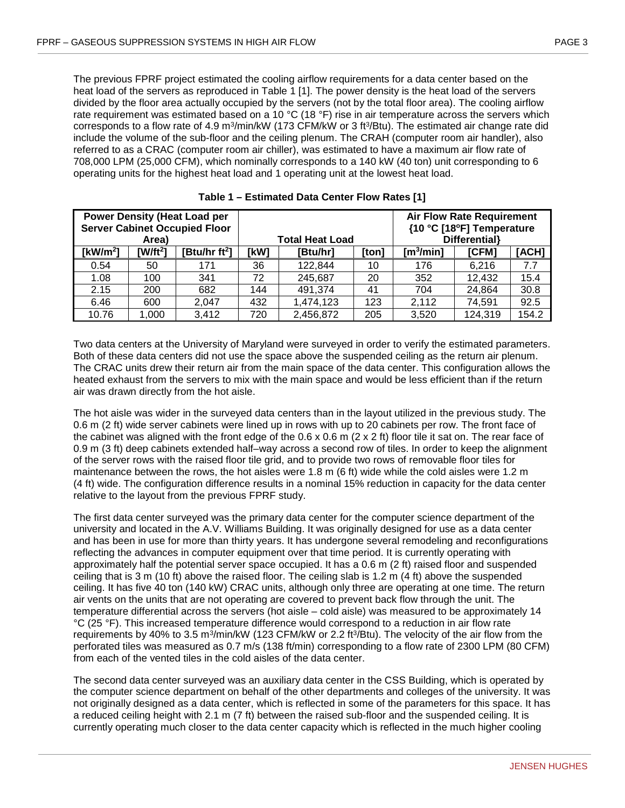The previous FPRF project estimated the cooling airflow requirements for a data center based on the heat load of the servers as reproduced in Table 1 [1]. The power density is the heat load of the servers divided by the floor area actually occupied by the servers (not by the total floor area). The cooling airflow rate requirement was estimated based on a 10 °C (18 °F) rise in air temperature across the servers which corresponds to a flow rate of 4.9 m<sup>3</sup>/min/kW (173 CFM/kW or 3 ft<sup>3</sup>/Btu). The estimated air change rate did include the volume of the sub-floor and the ceiling plenum. The CRAH (computer room air handler), also referred to as a CRAC (computer room air chiller), was estimated to have a maximum air flow rate of 708,000 LPM (25,000 CFM), which nominally corresponds to a 140 kW (40 ton) unit corresponding to 6 operating units for the highest heat load and 1 operating unit at the lowest heat load.

<span id="page-10-0"></span>

|              | Area)      | <b>Power Density (Heat Load per</b><br><b>Server Cabinet Occupied Floor</b> |      | <b>Total Heat Load</b> |       | <b>Air Flow Rate Requirement</b><br>{10 °C [18°F] Temperature<br>Differential} |         |       |  |
|--------------|------------|-----------------------------------------------------------------------------|------|------------------------|-------|--------------------------------------------------------------------------------|---------|-------|--|
| [ $kW/m^2$ ] | $[W/ft^2]$ | [Btu/hr ft <sup>2</sup> ]                                                   | [kW] | [Btu/hr]               | [ton] | $\lceil m^3/m$ in]                                                             | [CFM]   | [ACH] |  |
| 0.54         | 50         | 171                                                                         | 36   | 122,844                | 10    | 176                                                                            | 6,216   | 7.7   |  |
| 1.08         | 100        | 341                                                                         | 72   | 245,687                | 20    | 352                                                                            | 12,432  | 15.4  |  |
| 2.15         | 200        | 682                                                                         | 144  | 491,374                | 41    | 704                                                                            | 24,864  | 30.8  |  |
| 6.46         | 600        | 2.047                                                                       | 432  | 1,474,123              | 123   | 2,112                                                                          | 74,591  | 92.5  |  |
| 10.76        | 1,000      | 3,412                                                                       | 720  | 2,456,872              | 205   | 3,520                                                                          | 124,319 | 154.2 |  |

**Table 1 – Estimated Data Center Flow Rates [1]**

Two data centers at the University of Maryland were surveyed in order to verify the estimated parameters. Both of these data centers did not use the space above the suspended ceiling as the return air plenum. The CRAC units drew their return air from the main space of the data center. This configuration allows the heated exhaust from the servers to mix with the main space and would be less efficient than if the return air was drawn directly from the hot aisle.

The hot aisle was wider in the surveyed data centers than in the layout utilized in the previous study. The 0.6 m (2 ft) wide server cabinets were lined up in rows with up to 20 cabinets per row. The front face of the cabinet was aligned with the front edge of the  $0.6 \times 0.6$  m ( $2 \times 2$  ft) floor tile it sat on. The rear face of 0.9 m (3 ft) deep cabinets extended half–way across a second row of tiles. In order to keep the alignment of the server rows with the raised floor tile grid, and to provide two rows of removable floor tiles for maintenance between the rows, the hot aisles were 1.8 m (6 ft) wide while the cold aisles were 1.2 m (4 ft) wide. The configuration difference results in a nominal 15% reduction in capacity for the data center relative to the layout from the previous FPRF study.

The first data center surveyed was the primary data center for the computer science department of the university and located in the A.V. Williams Building. It was originally designed for use as a data center and has been in use for more than thirty years. It has undergone several remodeling and reconfigurations reflecting the advances in computer equipment over that time period. It is currently operating with approximately half the potential server space occupied. It has a 0.6 m (2 ft) raised floor and suspended ceiling that is 3 m (10 ft) above the raised floor. The ceiling slab is 1.2 m (4 ft) above the suspended ceiling. It has five 40 ton (140 kW) CRAC units, although only three are operating at one time. The return air vents on the units that are not operating are covered to prevent back flow through the unit. The temperature differential across the servers (hot aisle – cold aisle) was measured to be approximately 14 °C (25 °F). This increased temperature difference would correspond to a reduction in air flow rate requirements by 40% to 3.5 m<sup>3</sup>/min/kW (123 CFM/kW or 2.2 ft<sup>3</sup>/Btu). The velocity of the air flow from the perforated tiles was measured as 0.7 m/s (138 ft/min) corresponding to a flow rate of 2300 LPM (80 CFM) from each of the vented tiles in the cold aisles of the data center.

The second data center surveyed was an auxiliary data center in the CSS Building, which is operated by the computer science department on behalf of the other departments and colleges of the university. It was not originally designed as a data center, which is reflected in some of the parameters for this space. It has a reduced ceiling height with 2.1 m (7 ft) between the raised sub-floor and the suspended ceiling. It is currently operating much closer to the data center capacity which is reflected in the much higher cooling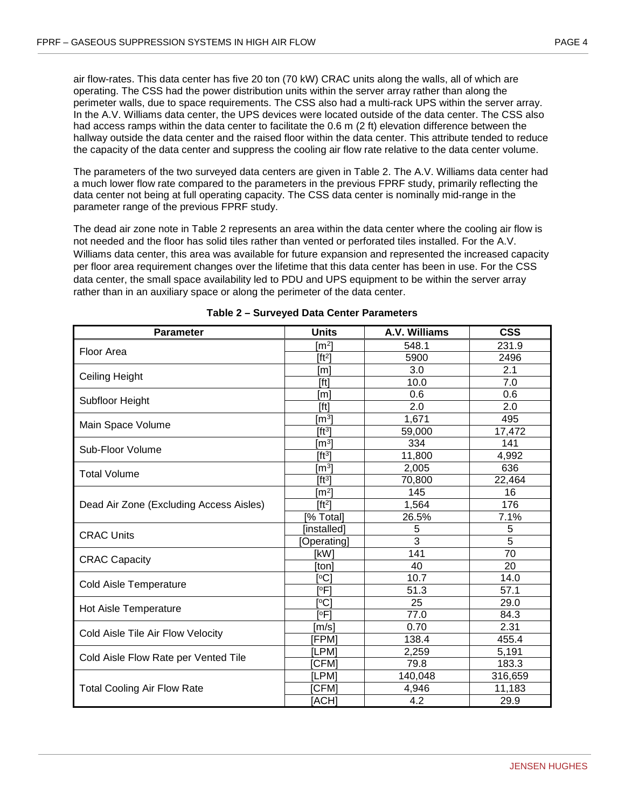air flow-rates. This data center has five 20 ton (70 kW) CRAC units along the walls, all of which are operating. The CSS had the power distribution units within the server array rather than along the perimeter walls, due to space requirements. The CSS also had a multi-rack UPS within the server array. In the A.V. Williams data center, the UPS devices were located outside of the data center. The CSS also had access ramps within the data center to facilitate the 0.6 m (2 ft) elevation difference between the hallway outside the data center and the raised floor within the data center. This attribute tended to reduce the capacity of the data center and suppress the cooling air flow rate relative to the data center volume.

The parameters of the two surveyed data centers are given in Table 2. The A.V. Williams data center had a much lower flow rate compared to the parameters in the previous FPRF study, primarily reflecting the data center not being at full operating capacity. The CSS data center is nominally mid-range in the parameter range of the previous FPRF study.

The dead air zone note in Table 2 represents an area within the data center where the cooling air flow is not needed and the floor has solid tiles rather than vented or perforated tiles installed. For the A.V. Williams data center, this area was available for future expansion and represented the increased capacity per floor area requirement changes over the lifetime that this data center has been in use. For the CSS data center, the small space availability led to PDU and UPS equipment to be within the server array rather than in an auxiliary space or along the perimeter of the data center.

<span id="page-11-0"></span>

| Parameter                               | <b>Units</b>        | A.V. Williams | <b>CSS</b>     |
|-----------------------------------------|---------------------|---------------|----------------|
| Floor Area                              | $\mathsf{Im}^2$     | 548.1         | 231.9          |
|                                         | $[ft^2]$            | 5900          | 2496           |
|                                         | [m]                 | 3.0           | 2.1            |
| <b>Ceiling Height</b>                   | [ft]                | 10.0          | 7.0            |
| Subfloor Height                         | [m]                 | 0.6           | 0.6            |
|                                         | [ft]                | 2.0           | 2.0            |
| Main Space Volume                       | $\lceil m^3 \rceil$ | 1,671         | 495            |
|                                         | [ft <sup>3</sup> ]  | 59,000        | 17,472         |
| Sub-Floor Volume                        | $\mathsf{[m^3]}$    | 334           | 141            |
|                                         | [ft <sup>3</sup> ]  | 11,800        | 4,992          |
| <b>Total Volume</b>                     | $\mathsf{[m^3]}$    | 2,005         | 636            |
|                                         | [ft <sup>3</sup> ]  | 70,800        | 22,464         |
|                                         | $\mathsf{[m^2]}$    | 145           | 16             |
| Dead Air Zone (Excluding Access Aisles) | [ft <sup>2</sup> ]  | 1,564         | 176            |
|                                         | [% Total]           | 26.5%         | 7.1%           |
| <b>CRAC Units</b>                       | [installed]         | 5             | 5              |
|                                         | [Operating]         | 3             | $\overline{5}$ |
| <b>CRAC Capacity</b>                    | [kW]                | 141           | 70             |
|                                         | [ton]               | 40            | 20             |
| Cold Aisle Temperature                  | $\mathsf{[°C]}$     | 10.7          | 14.0           |
|                                         | [°F]                | 51.3          | 57.1           |
| Hot Aisle Temperature                   | $\overline{C}$      | 25            | 29.0           |
|                                         | [°F]                | 77.0          | 84.3           |
| Cold Aisle Tile Air Flow Velocity       | [m/s]               | 0.70          | 2.31           |
|                                         | [FPM]               | 138.4         | 455.4          |
| Cold Aisle Flow Rate per Vented Tile    | [LPM]               | 2,259         | 5,191          |
|                                         | [CFM]               | 79.8          | 183.3          |
|                                         | [LPM]               | 140,048       | 316,659        |
| <b>Total Cooling Air Flow Rate</b>      | [CFM]               | 4,946         | 11,183         |
|                                         | [ACH]               | 4.2           | 29.9           |

#### **Table 2 – Surveyed Data Center Parameters**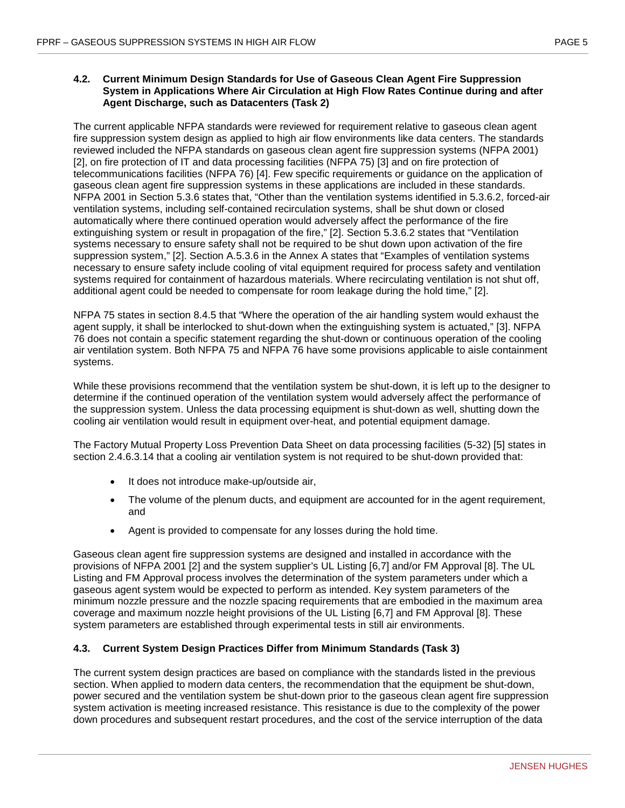#### <span id="page-12-0"></span>**4.2. Current Minimum Design Standards for Use of Gaseous Clean Agent Fire Suppression System in Applications Where Air Circulation at High Flow Rates Continue during and after Agent Discharge, such as Datacenters (Task 2)**

The current applicable NFPA standards were reviewed for requirement relative to gaseous clean agent fire suppression system design as applied to high air flow environments like data centers. The standards reviewed included the NFPA standards on gaseous clean agent fire suppression systems (NFPA 2001) [2], on fire protection of IT and data processing facilities (NFPA 75) [3] and on fire protection of telecommunications facilities (NFPA 76) [4]. Few specific requirements or guidance on the application of gaseous clean agent fire suppression systems in these applications are included in these standards. NFPA 2001 in Section 5.3.6 states that, "Other than the ventilation systems identified in 5.3.6.2, forced-air ventilation systems, including self-contained recirculation systems, shall be shut down or closed automatically where there continued operation would adversely affect the performance of the fire extinguishing system or result in propagation of the fire," [2]. Section 5.3.6.2 states that "Ventilation systems necessary to ensure safety shall not be required to be shut down upon activation of the fire suppression system," [2]. Section A.5.3.6 in the Annex A states that "Examples of ventilation systems necessary to ensure safety include cooling of vital equipment required for process safety and ventilation systems required for containment of hazardous materials. Where recirculating ventilation is not shut off, additional agent could be needed to compensate for room leakage during the hold time," [2].

NFPA 75 states in section 8.4.5 that "Where the operation of the air handling system would exhaust the agent supply, it shall be interlocked to shut-down when the extinguishing system is actuated," [3]. NFPA 76 does not contain a specific statement regarding the shut-down or continuous operation of the cooling air ventilation system. Both NFPA 75 and NFPA 76 have some provisions applicable to aisle containment systems.

While these provisions recommend that the ventilation system be shut-down, it is left up to the designer to determine if the continued operation of the ventilation system would adversely affect the performance of the suppression system. Unless the data processing equipment is shut-down as well, shutting down the cooling air ventilation would result in equipment over-heat, and potential equipment damage.

The Factory Mutual Property Loss Prevention Data Sheet on data processing facilities (5-32) [5] states in section 2.4.6.3.14 that a cooling air ventilation system is not required to be shut-down provided that:

- It does not introduce make-up/outside air,
- The volume of the plenum ducts, and equipment are accounted for in the agent requirement, and
- Agent is provided to compensate for any losses during the hold time.

Gaseous clean agent fire suppression systems are designed and installed in accordance with the provisions of NFPA 2001 [2] and the system supplier's UL Listing [6,7] and/or FM Approval [8]. The UL Listing and FM Approval process involves the determination of the system parameters under which a gaseous agent system would be expected to perform as intended. Key system parameters of the minimum nozzle pressure and the nozzle spacing requirements that are embodied in the maximum area coverage and maximum nozzle height provisions of the UL Listing [6,7] and FM Approval [8]. These system parameters are established through experimental tests in still air environments.

#### <span id="page-12-1"></span>**4.3. Current System Design Practices Differ from Minimum Standards (Task 3)**

The current system design practices are based on compliance with the standards listed in the previous section. When applied to modern data centers, the recommendation that the equipment be shut-down, power secured and the ventilation system be shut-down prior to the gaseous clean agent fire suppression system activation is meeting increased resistance. This resistance is due to the complexity of the power down procedures and subsequent restart procedures, and the cost of the service interruption of the data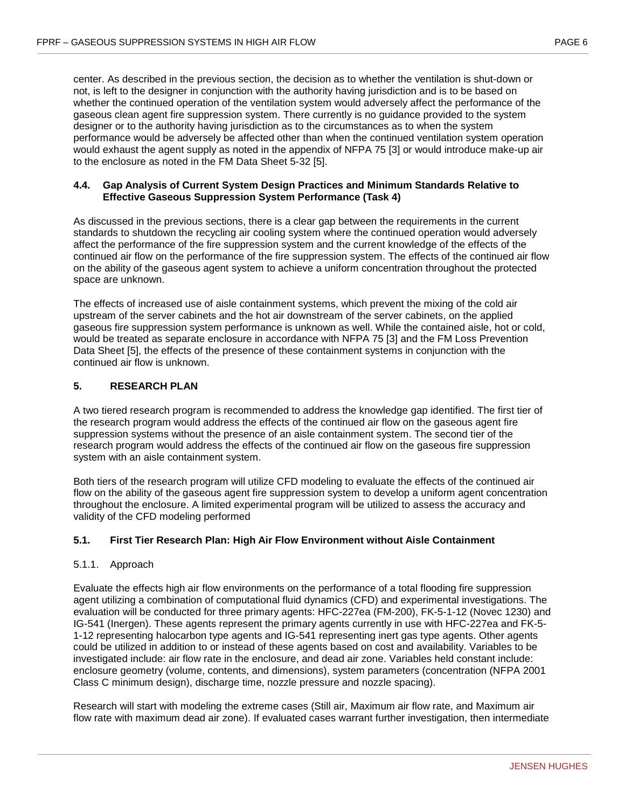center. As described in the previous section, the decision as to whether the ventilation is shut-down or not, is left to the designer in conjunction with the authority having jurisdiction and is to be based on whether the continued operation of the ventilation system would adversely affect the performance of the gaseous clean agent fire suppression system. There currently is no guidance provided to the system designer or to the authority having jurisdiction as to the circumstances as to when the system performance would be adversely be affected other than when the continued ventilation system operation would exhaust the agent supply as noted in the appendix of NFPA 75 [3] or would introduce make-up air to the enclosure as noted in the FM Data Sheet 5-32 [5].

#### <span id="page-13-0"></span>**4.4. Gap Analysis of Current System Design Practices and Minimum Standards Relative to Effective Gaseous Suppression System Performance (Task 4)**

As discussed in the previous sections, there is a clear gap between the requirements in the current standards to shutdown the recycling air cooling system where the continued operation would adversely affect the performance of the fire suppression system and the current knowledge of the effects of the continued air flow on the performance of the fire suppression system. The effects of the continued air flow on the ability of the gaseous agent system to achieve a uniform concentration throughout the protected space are unknown.

The effects of increased use of aisle containment systems, which prevent the mixing of the cold air upstream of the server cabinets and the hot air downstream of the server cabinets, on the applied gaseous fire suppression system performance is unknown as well. While the contained aisle, hot or cold, would be treated as separate enclosure in accordance with NFPA 75 [3] and the FM Loss Prevention Data Sheet [5], the effects of the presence of these containment systems in conjunction with the continued air flow is unknown.

## <span id="page-13-1"></span>**5. RESEARCH PLAN**

A two tiered research program is recommended to address the knowledge gap identified. The first tier of the research program would address the effects of the continued air flow on the gaseous agent fire suppression systems without the presence of an aisle containment system. The second tier of the research program would address the effects of the continued air flow on the gaseous fire suppression system with an aisle containment system.

Both tiers of the research program will utilize CFD modeling to evaluate the effects of the continued air flow on the ability of the gaseous agent fire suppression system to develop a uniform agent concentration throughout the enclosure. A limited experimental program will be utilized to assess the accuracy and validity of the CFD modeling performed

#### <span id="page-13-2"></span>**5.1. First Tier Research Plan: High Air Flow Environment without Aisle Containment**

#### <span id="page-13-3"></span>5.1.1. Approach

Evaluate the effects high air flow environments on the performance of a total flooding fire suppression agent utilizing a combination of computational fluid dynamics (CFD) and experimental investigations. The evaluation will be conducted for three primary agents: HFC-227ea (FM-200), FK-5-1-12 (Novec 1230) and IG-541 (Inergen). These agents represent the primary agents currently in use with HFC-227ea and FK-5- 1-12 representing halocarbon type agents and IG-541 representing inert gas type agents. Other agents could be utilized in addition to or instead of these agents based on cost and availability. Variables to be investigated include: air flow rate in the enclosure, and dead air zone. Variables held constant include: enclosure geometry (volume, contents, and dimensions), system parameters (concentration (NFPA 2001 Class C minimum design), discharge time, nozzle pressure and nozzle spacing).

Research will start with modeling the extreme cases (Still air, Maximum air flow rate, and Maximum air flow rate with maximum dead air zone). If evaluated cases warrant further investigation, then intermediate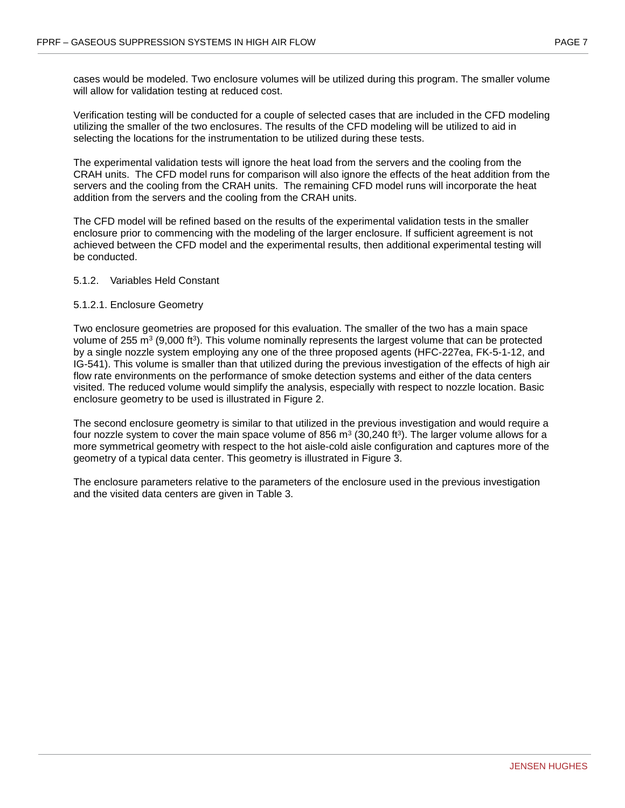cases would be modeled. Two enclosure volumes will be utilized during this program. The smaller volume will allow for validation testing at reduced cost.

Verification testing will be conducted for a couple of selected cases that are included in the CFD modeling utilizing the smaller of the two enclosures. The results of the CFD modeling will be utilized to aid in selecting the locations for the instrumentation to be utilized during these tests.

The experimental validation tests will ignore the heat load from the servers and the cooling from the CRAH units. The CFD model runs for comparison will also ignore the effects of the heat addition from the servers and the cooling from the CRAH units. The remaining CFD model runs will incorporate the heat addition from the servers and the cooling from the CRAH units.

The CFD model will be refined based on the results of the experimental validation tests in the smaller enclosure prior to commencing with the modeling of the larger enclosure. If sufficient agreement is not achieved between the CFD model and the experimental results, then additional experimental testing will be conducted.

#### <span id="page-14-0"></span>5.1.2. Variables Held Constant

#### 5.1.2.1. Enclosure Geometry

Two enclosure geometries are proposed for this evaluation. The smaller of the two has a main space volume of 255 m<sup>3</sup> (9,000 ft<sup>3</sup>). This volume nominally represents the largest volume that can be protected by a single nozzle system employing any one of the three proposed agents (HFC-227ea, FK-5-1-12, and IG-541). This volume is smaller than that utilized during the previous investigation of the effects of high air flow rate environments on the performance of smoke detection systems and either of the data centers visited. The reduced volume would simplify the analysis, especially with respect to nozzle location. Basic enclosure geometry to be used is illustrated in Figure 2.

The second enclosure geometry is similar to that utilized in the previous investigation and would require a four nozzle system to cover the main space volume of 856  $\text{m}^3$  (30,240 ft<sup>3</sup>). The larger volume allows for a more symmetrical geometry with respect to the hot aisle-cold aisle configuration and captures more of the geometry of a typical data center. This geometry is illustrated in Figure 3.

The enclosure parameters relative to the parameters of the enclosure used in the previous investigation and the visited data centers are given in Table 3.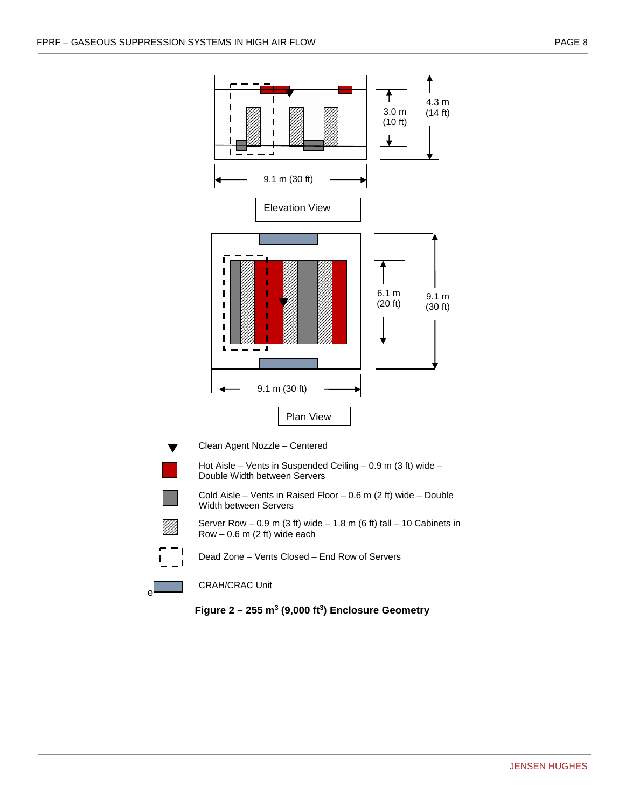



<span id="page-15-0"></span>e

Dead Zone – Vents Closed – End Row of Servers

CRAH/CRAC Unit

**Figure 2 – 255 m3 (9,000 ft3) Enclosure Geometry**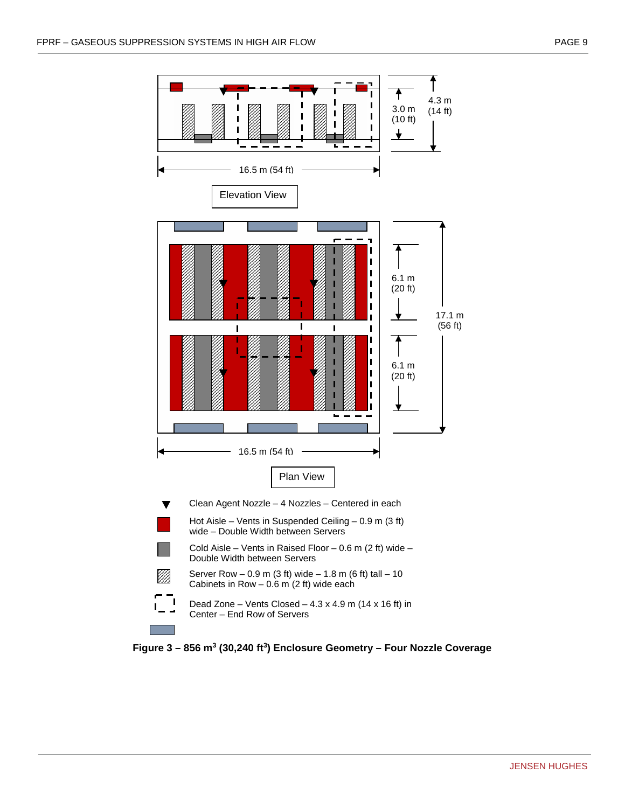

<span id="page-16-0"></span>**Figure 3 – 856 m3 (30,240 ft3) Enclosure Geometry – Four Nozzle Coverage**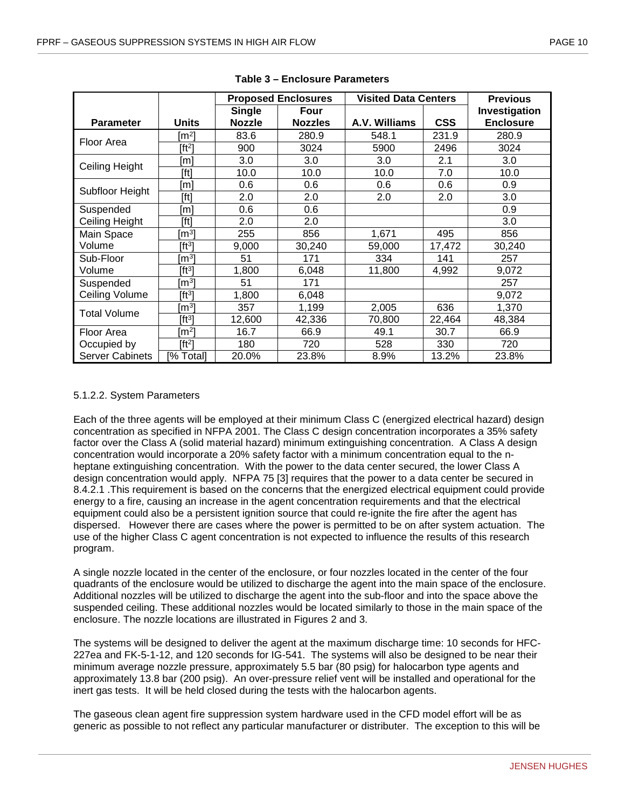<span id="page-17-0"></span>

|                        |                     |               | <b>Proposed Enclosures</b> | <b>Visited Data Centers</b> |            | <b>Previous</b>  |
|------------------------|---------------------|---------------|----------------------------|-----------------------------|------------|------------------|
|                        |                     | <b>Single</b> | Four                       |                             |            | Investigation    |
| <b>Parameter</b>       | <b>Units</b>        | <b>Nozzle</b> | <b>Nozzles</b>             | A.V. Williams               | <b>CSS</b> | <b>Enclosure</b> |
| Floor Area             | [m²]                | 83.6          | 280.9                      | 548.1                       | 231.9      | 280.9            |
|                        | $[ft^2]$            | 900           | 3024                       | 5900                        | 2496       | 3024             |
| Ceiling Height         | [m]                 | 3.0           | 3.0                        | 3.0                         | 2.1        | 3.0              |
|                        | [ft]                | 10.0          | 10.0                       | 10.0                        | 7.0        | 10.0             |
| Subfloor Height        | [m]                 | 0.6           | 0.6                        | 0.6                         | 0.6        | 0.9              |
|                        | [ft]                | 2.0           | 2.0                        | 2.0                         | 2.0        | 3.0              |
| Suspended              | [m]                 | 0.6           | 0.6                        |                             |            | 0.9              |
| Ceiling Height         | [ft]                | 2.0           | 2.0                        |                             |            | 3.0              |
| Main Space             | [m $^{3}$ ]         | 255           | 856                        | 1,671                       | 495        | 856              |
| Volume                 | [ft3]               | 9,000         | 30,240                     | 59,000                      | 17,472     | 30,240           |
| Sub-Floor              | [m $^{3}$ ]         | 51            | 171                        | 334                         | 141        | 257              |
| Volume                 | [ft3]               | 1,800         | 6,048                      | 11,800                      | 4,992      | 9,072            |
| Suspended              | ${\rm Im}^3{\rm l}$ | 51            | 171                        |                             |            | 257              |
| Ceiling Volume         | [ft3]               | 1,800         | 6,048                      |                             |            | 9,072            |
| <b>Total Volume</b>    | [m $^{3}$ ]         | 357           | 1,199                      | 2,005                       | 636        | 1,370            |
|                        | [ft3]               | 12,600        | 42,336                     | 70,800                      | 22,464     | 48,384           |
| Floor Area             | $\lceil m^2 \rceil$ | 16.7          | 66.9                       | 49.1                        | 30.7       | 66.9             |
| Occupied by            | $[ft^2]$            | 180           | 720                        | 528                         | 330        | 720              |
| <b>Server Cabinets</b> | [% Total]           | 20.0%         | 23.8%                      | 8.9%                        | 13.2%      | 23.8%            |

#### **Table 3 – Enclosure Parameters**

#### 5.1.2.2. System Parameters

Each of the three agents will be employed at their minimum Class C (energized electrical hazard) design concentration as specified in NFPA 2001. The Class C design concentration incorporates a 35% safety factor over the Class A (solid material hazard) minimum extinguishing concentration. A Class A design concentration would incorporate a 20% safety factor with a minimum concentration equal to the nheptane extinguishing concentration. With the power to the data center secured, the lower Class A design concentration would apply. NFPA 75 [3] requires that the power to a data center be secured in 8.4.2.1 .This requirement is based on the concerns that the energized electrical equipment could provide energy to a fire, causing an increase in the agent concentration requirements and that the electrical equipment could also be a persistent ignition source that could re-ignite the fire after the agent has dispersed. However there are cases where the power is permitted to be on after system actuation. The use of the higher Class C agent concentration is not expected to influence the results of this research program.

A single nozzle located in the center of the enclosure, or four nozzles located in the center of the four quadrants of the enclosure would be utilized to discharge the agent into the main space of the enclosure. Additional nozzles will be utilized to discharge the agent into the sub-floor and into the space above the suspended ceiling. These additional nozzles would be located similarly to those in the main space of the enclosure. The nozzle locations are illustrated in Figures 2 and 3.

The systems will be designed to deliver the agent at the maximum discharge time: 10 seconds for HFC-227ea and FK-5-1-12, and 120 seconds for IG-541. The systems will also be designed to be near their minimum average nozzle pressure, approximately 5.5 bar (80 psig) for halocarbon type agents and approximately 13.8 bar (200 psig). An over-pressure relief vent will be installed and operational for the inert gas tests. It will be held closed during the tests with the halocarbon agents.

The gaseous clean agent fire suppression system hardware used in the CFD model effort will be as generic as possible to not reflect any particular manufacturer or distributer. The exception to this will be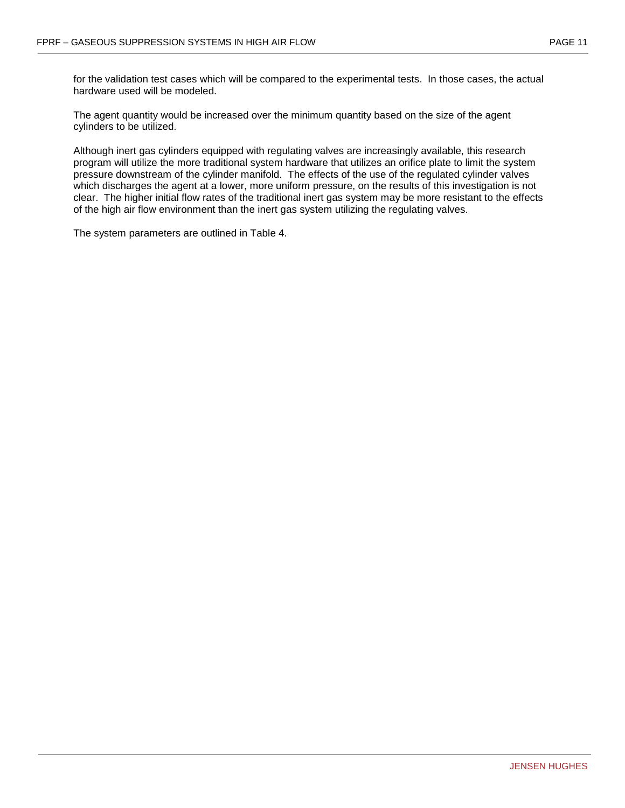for the validation test cases which will be compared to the experimental tests. In those cases, the actual hardware used will be modeled.

The agent quantity would be increased over the minimum quantity based on the size of the agent cylinders to be utilized.

Although inert gas cylinders equipped with regulating valves are increasingly available, this research program will utilize the more traditional system hardware that utilizes an orifice plate to limit the system pressure downstream of the cylinder manifold. The effects of the use of the regulated cylinder valves which discharges the agent at a lower, more uniform pressure, on the results of this investigation is not clear. The higher initial flow rates of the traditional inert gas system may be more resistant to the effects of the high air flow environment than the inert gas system utilizing the regulating valves.

The system parameters are outlined in Table 4.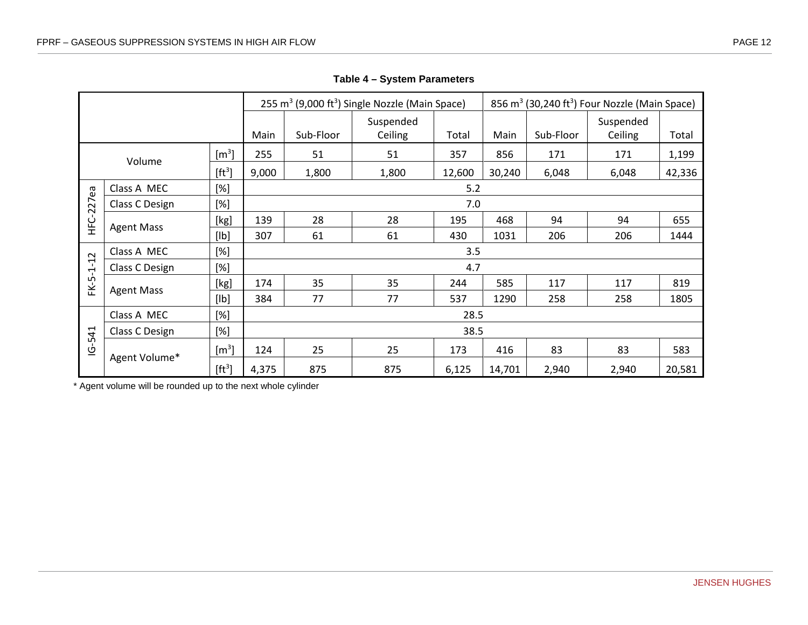|                                   |                                             |                       |       |           | 255 m <sup>3</sup> (9,000 ft <sup>3</sup> ) Single Nozzle (Main Space) |        |        |           | 856 m <sup>3</sup> (30,240 ft <sup>3</sup> ) Four Nozzle (Main Space) |        |  |  |  |
|-----------------------------------|---------------------------------------------|-----------------------|-------|-----------|------------------------------------------------------------------------|--------|--------|-----------|-----------------------------------------------------------------------|--------|--|--|--|
|                                   |                                             |                       | Main  | Sub-Floor | Suspended<br>Ceiling                                                   | Total  | Main   | Sub-Floor | Suspended<br>Ceiling                                                  | Total  |  |  |  |
|                                   | $\rm [m^3]$<br>Volume<br>[ft <sup>3</sup> ] |                       | 255   | 51<br>51  |                                                                        | 357    | 856    | 171       | 171                                                                   | 1,199  |  |  |  |
|                                   |                                             |                       | 9,000 | 1,800     | 1,800                                                                  | 12,600 | 30,240 | 6,048     | 6,048                                                                 | 42,336 |  |  |  |
|                                   | Class A MEC                                 | [%]                   |       | 5.2       |                                                                        |        |        |           |                                                                       |        |  |  |  |
| HFC-227ea                         | [%]<br>7.0<br>Class C Design                |                       |       |           |                                                                        |        |        |           |                                                                       |        |  |  |  |
|                                   | <b>Agent Mass</b>                           | [kg]                  | 139   | 28        | 28                                                                     | 195    | 468    | 94        | 94                                                                    | 655    |  |  |  |
|                                   |                                             | [lb]                  | 307   | 61        | 61                                                                     | 430    | 1031   | 206       | 206                                                                   | 1444   |  |  |  |
|                                   | Class A MEC                                 | [%]                   |       |           |                                                                        | 3.5    |        |           |                                                                       |        |  |  |  |
| $-12$<br>$\overline{\phantom{0}}$ | Class C Design                              | [%]                   | 4.7   |           |                                                                        |        |        |           |                                                                       |        |  |  |  |
| டி<br>盖                           | <b>Agent Mass</b>                           | [kg]                  | 174   | 35        | 35                                                                     | 244    | 585    | 117       | 117                                                                   | 819    |  |  |  |
|                                   |                                             | [lb]                  | 384   | 77        | 77                                                                     | 537    | 1290   | 258       | 258                                                                   | 1805   |  |  |  |
|                                   | Class A MEC                                 | [%]                   |       |           |                                                                        | 28.5   |        |           |                                                                       |        |  |  |  |
| $-541$                            | Class C Design                              | [%]                   |       |           |                                                                        | 38.5   |        |           |                                                                       |        |  |  |  |
| <u>ு</u>                          | Agent Volume*                               | $\text{[m}^3\text{]}$ | 124   | 25        | 25                                                                     | 173    | 416    | 83        | 83                                                                    | 583    |  |  |  |
|                                   |                                             | [ft <sup>3</sup> ]    | 4,375 | 875       | 875                                                                    | 6,125  | 14,701 | 2,940     | 2,940                                                                 | 20,581 |  |  |  |

**Table 4 – System Parameters**

<span id="page-19-0"></span>\* Agent volume will be rounded up to the next whole cylinder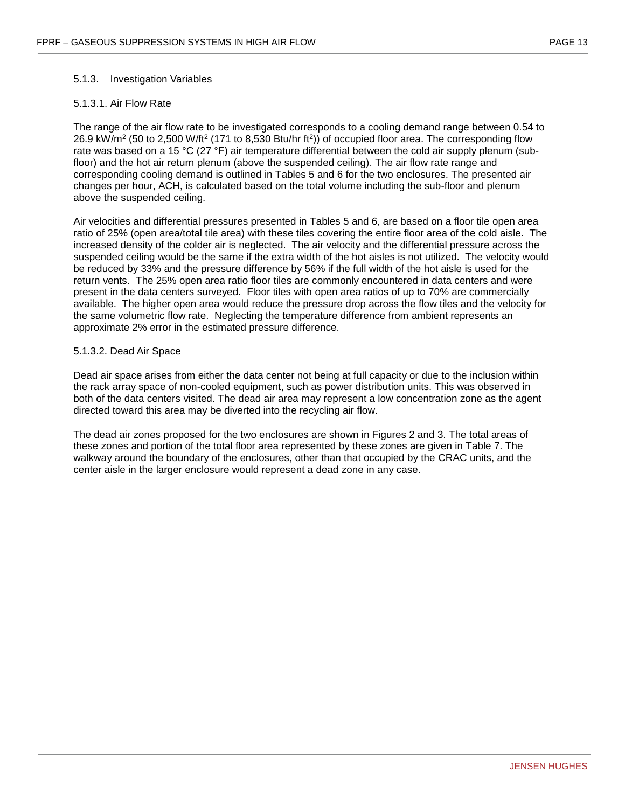#### <span id="page-20-0"></span>5.1.3. Investigation Variables

#### 5.1.3.1. Air Flow Rate

The range of the air flow rate to be investigated corresponds to a cooling demand range between 0.54 to 26.9 kW/m<sup>2</sup> (50 to 2,500 W/ft<sup>2</sup> (171 to 8,530 Btu/hr ft<sup>2</sup>)) of occupied floor area. The corresponding flow rate was based on a 15 °C (27 °F) air temperature differential between the cold air supply plenum (subfloor) and the hot air return plenum (above the suspended ceiling). The air flow rate range and corresponding cooling demand is outlined in Tables 5 and 6 for the two enclosures. The presented air changes per hour, ACH, is calculated based on the total volume including the sub-floor and plenum above the suspended ceiling.

Air velocities and differential pressures presented in Tables 5 and 6, are based on a floor tile open area ratio of 25% (open area/total tile area) with these tiles covering the entire floor area of the cold aisle. The increased density of the colder air is neglected. The air velocity and the differential pressure across the suspended ceiling would be the same if the extra width of the hot aisles is not utilized. The velocity would be reduced by 33% and the pressure difference by 56% if the full width of the hot aisle is used for the return vents. The 25% open area ratio floor tiles are commonly encountered in data centers and were present in the data centers surveyed. Floor tiles with open area ratios of up to 70% are commercially available. The higher open area would reduce the pressure drop across the flow tiles and the velocity for the same volumetric flow rate. Neglecting the temperature difference from ambient represents an approximate 2% error in the estimated pressure difference.

#### 5.1.3.2. Dead Air Space

Dead air space arises from either the data center not being at full capacity or due to the inclusion within the rack array space of non-cooled equipment, such as power distribution units. This was observed in both of the data centers visited. The dead air area may represent a low concentration zone as the agent directed toward this area may be diverted into the recycling air flow.

The dead air zones proposed for the two enclosures are shown in Figures 2 and 3. The total areas of these zones and portion of the total floor area represented by these zones are given in Table 7. The walkway around the boundary of the enclosures, other than that occupied by the CRAC units, and the center aisle in the larger enclosure would represent a dead zone in any case.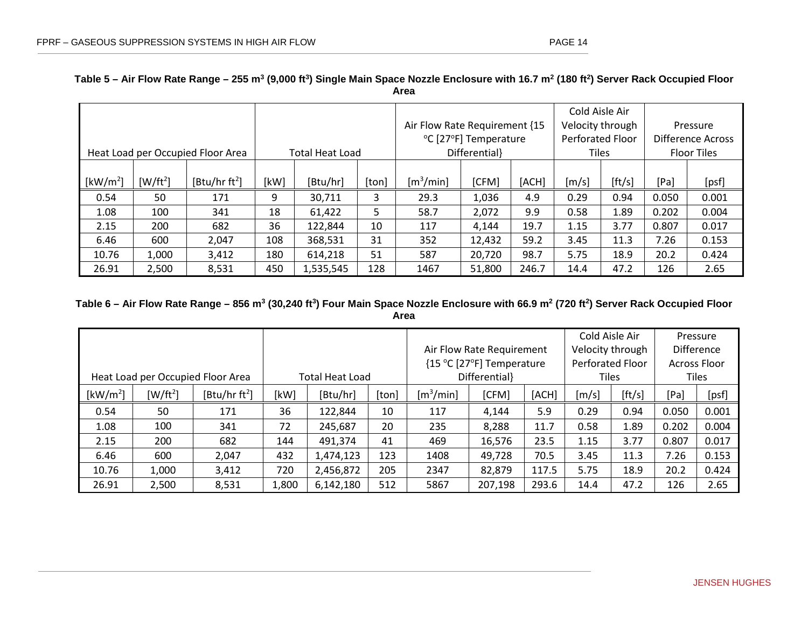# **Table 5 – Air Flow Rate Range – 255 m3 (9,000 ft3) Single Main Space Nozzle Enclosure with 16.7 m2 (180 ft2) Server Rack Occupied Floor Area**

| Heat Load per Occupied Floor Area |            |                           | <b>Total Heat Load</b> |           |       | Air Flow Rate Requirement {15<br>°C [27°F] Temperature<br>Differential} |        |       | Cold Aisle Air<br>Velocity through<br>Perforated Floor<br><b>Tiles</b> |        | Pressure<br>Difference Across<br><b>Floor Tiles</b> |       |
|-----------------------------------|------------|---------------------------|------------------------|-----------|-------|-------------------------------------------------------------------------|--------|-------|------------------------------------------------------------------------|--------|-----------------------------------------------------|-------|
| [kW/m <sup>2</sup> ]              | $[W/ft^2]$ | [Btu/hr ft <sup>2</sup> ] | [kW]                   | [Btu/hr]  | [ton] | $\lceil m^3/m$ in]                                                      | [CFM]  | [ACH] | [m/s]                                                                  | [ft/s] | [Pa]                                                | [psf] |
| 0.54                              | 50         | 171                       | 9                      | 30,711    | 3     | 29.3                                                                    | 1,036  | 4.9   | 0.29                                                                   | 0.94   | 0.050                                               | 0.001 |
| 1.08                              | 100        | 341                       | 18                     | 61,422    | 5     | 58.7                                                                    | 2,072  | 9.9   | 0.58                                                                   | 1.89   | 0.202                                               | 0.004 |
| 2.15                              | 200        | 682                       | 36                     | 122,844   | 10    | 117                                                                     | 4,144  | 19.7  | 1.15                                                                   | 3.77   | 0.807                                               | 0.017 |
| 6.46                              | 600        | 2,047                     | 108                    | 368,531   | 31    | 352                                                                     | 12,432 | 59.2  | 3.45                                                                   | 11.3   | 7.26                                                | 0.153 |
| 10.76                             | 1,000      | 3,412                     | 180                    | 614,218   | 51    | 587                                                                     | 20,720 | 98.7  | 5.75                                                                   | 18.9   | 20.2                                                | 0.424 |
| 26.91                             | 2,500      | 8,531                     | 450                    | 1,535,545 | 128   | 1467                                                                    | 51,800 | 246.7 | 14.4                                                                   | 47.2   | 126                                                 | 2.65  |

## <span id="page-21-0"></span>**Table 6 – Air Flow Rate Range – 856 m3 (30,240 ft3) Four Main Space Nozzle Enclosure with 66.9 m2 (720 ft2) Server Rack Occupied Floor Area**

<span id="page-21-1"></span>

| Heat Load per Occupied Floor Area |            |                           |       | <b>Total Heat Load</b> |       | Air Flow Rate Requirement<br>{15 °C [27°F] Temperature<br>Differential} |         |       | Cold Aisle Air<br>Velocity through<br>Perforated Floor<br><b>Tiles</b> |        | Pressure<br><b>Difference</b><br><b>Across Floor</b><br><b>Tiles</b> |       |
|-----------------------------------|------------|---------------------------|-------|------------------------|-------|-------------------------------------------------------------------------|---------|-------|------------------------------------------------------------------------|--------|----------------------------------------------------------------------|-------|
| [kW/m <sup>2</sup> ]              | $[W/ft^2]$ | [Btu/hr ft <sup>2</sup> ] | [kW]  | [Btu/hr]               | [ton] | $\lceil m^3 / m$ in]<br>[CFM]<br>[ACH]                                  |         |       | [m/s]                                                                  | [ft/s] | [Pa]                                                                 | [psf] |
| 0.54                              | 50         | 171                       | 36    | 122,844                | 10    | 117                                                                     | 4.144   | 5.9   | 0.29                                                                   | 0.94   | 0.050                                                                | 0.001 |
| 1.08                              | 100        | 341                       | 72    | 245,687                | 20    | 235                                                                     | 8,288   | 11.7  | 0.58                                                                   | 1.89   | 0.202                                                                | 0.004 |
| 2.15                              | 200        | 682                       | 144   | 491,374                | 41    | 469                                                                     | 16,576  | 23.5  | 1.15                                                                   | 3.77   | 0.807                                                                | 0.017 |
| 6.46                              | 600        | 2,047                     | 432   | 1,474,123              | 123   | 1408                                                                    | 49,728  | 70.5  | 3.45                                                                   | 11.3   | 7.26                                                                 | 0.153 |
| 10.76                             | 1,000      | 3,412                     | 720   | 2,456,872              | 205   | 2347                                                                    | 82,879  | 117.5 | 5.75                                                                   | 18.9   | 20.2                                                                 | 0.424 |
| 26.91                             | 2,500      | 8,531                     | 1,800 | 6,142,180              | 512   | 5867                                                                    | 207,198 | 293.6 | 14.4                                                                   | 47.2   | 126                                                                  | 2.65  |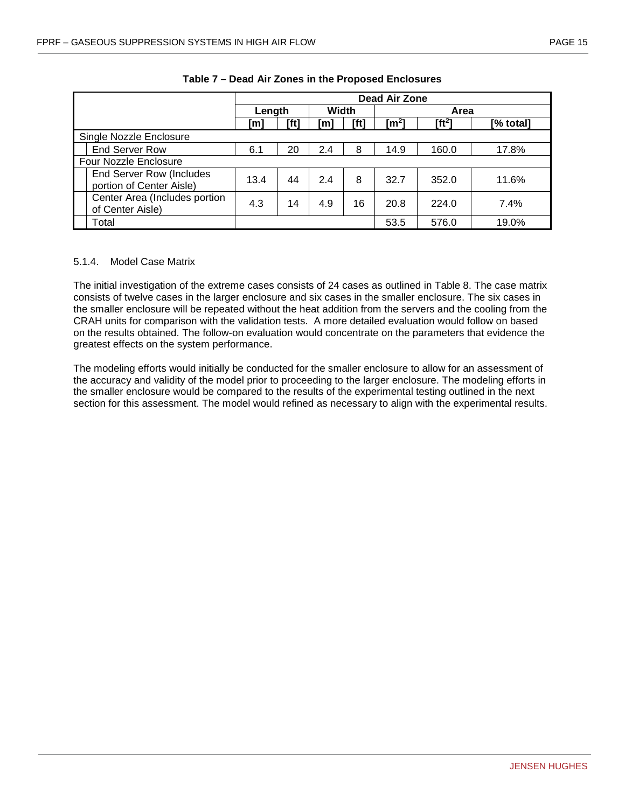<span id="page-22-1"></span>

|                                                      |        |      |       |      | Dead Air Zone |          |           |  |
|------------------------------------------------------|--------|------|-------|------|---------------|----------|-----------|--|
|                                                      | Length |      | Width |      | Area          |          |           |  |
|                                                      | [m]    | [ft] | [m]   | [ft] | [m²]          | $[ft^2]$ | [% total] |  |
| Single Nozzle Enclosure                              |        |      |       |      |               |          |           |  |
| <b>End Server Row</b>                                | 6.1    | 20   | 2.4   | 8    | 14.9          | 160.0    | 17.8%     |  |
| <b>Four Nozzle Enclosure</b>                         |        |      |       |      |               |          |           |  |
| End Server Row (Includes<br>portion of Center Aisle) | 13.4   | 44   | 2.4   | 8    | 32.7          | 352.0    | 11.6%     |  |
| Center Area (Includes portion<br>of Center Aisle)    | 4.3    | 14   | 4.9   | 16   | 20.8          | 224.0    | 7.4%      |  |
| Total                                                |        |      |       |      | 53.5          | 576.0    | 19.0%     |  |

**Table 7 – Dead Air Zones in the Proposed Enclosures**

#### <span id="page-22-0"></span>5.1.4. Model Case Matrix

The initial investigation of the extreme cases consists of 24 cases as outlined in Table 8. The case matrix consists of twelve cases in the larger enclosure and six cases in the smaller enclosure. The six cases in the smaller enclosure will be repeated without the heat addition from the servers and the cooling from the CRAH units for comparison with the validation tests. A more detailed evaluation would follow on based on the results obtained. The follow-on evaluation would concentrate on the parameters that evidence the greatest effects on the system performance.

The modeling efforts would initially be conducted for the smaller enclosure to allow for an assessment of the accuracy and validity of the model prior to proceeding to the larger enclosure. The modeling efforts in the smaller enclosure would be compared to the results of the experimental testing outlined in the next section for this assessment. The model would refined as necessary to align with the experimental results.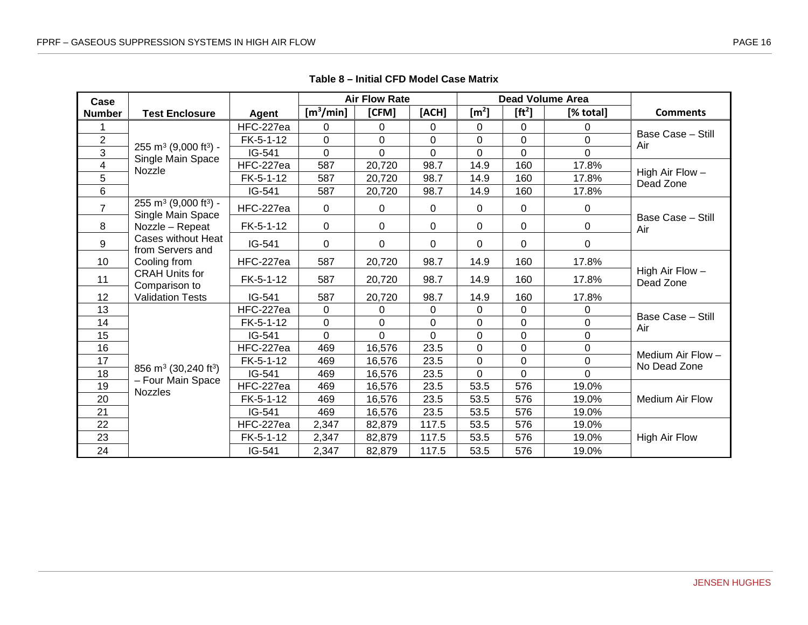<span id="page-23-0"></span>

| Case                    |                                                                    |              |                       | <b>Air Flow Rate</b> |          |                       |                    | <b>Dead Volume Area</b> |                                |
|-------------------------|--------------------------------------------------------------------|--------------|-----------------------|----------------------|----------|-----------------------|--------------------|-------------------------|--------------------------------|
| <b>Number</b>           | <b>Test Enclosure</b>                                              | <b>Agent</b> | [m <sup>3</sup> /min] | [CFM]                | [ACH]    | $\text{[m}^2\text{]}$ | [ft <sup>2</sup> ] | [% total]               | <b>Comments</b>                |
|                         |                                                                    | HFC-227ea    | 0                     | 0                    | 0        | 0                     | $\Omega$           | 0                       |                                |
| $\overline{2}$          |                                                                    | FK-5-1-12    | $\pmb{0}$             | $\mathbf 0$          | 0        | 0                     | 0                  | $\pmb{0}$               | Base Case - Still<br>Air       |
| $\overline{3}$          | 255 m <sup>3</sup> (9,000 ft <sup>3</sup> ) -<br>Single Main Space | IG-541       | $\mathbf 0$           | $\Omega$             | $\Omega$ | $\Omega$              | $\Omega$           | $\overline{0}$          |                                |
| $\overline{\mathbf{4}}$ | Nozzle                                                             | HFC-227ea    | 587                   | 20,720               | 98.7     | 14.9                  | 160                | 17.8%                   |                                |
| 5                       |                                                                    | FK-5-1-12    | 587                   | 20,720               | 98.7     | 14.9                  | 160                | 17.8%                   | High Air Flow $-$<br>Dead Zone |
| 6                       |                                                                    | IG-541       | 587                   | 20,720               | 98.7     | 14.9                  | 160                | 17.8%                   |                                |
| $\overline{7}$          | $255 \text{ m}^3$ (9,000 ft <sup>3</sup> ) -<br>Single Main Space  | HFC-227ea    | $\mathbf 0$           | 0                    | 0        | 0                     | 0                  | 0                       | Base Case - Still              |
| 8                       | Nozzle - Repeat                                                    | FK-5-1-12    | $\mathbf 0$           | 0                    | 0        | 0                     | $\mathbf 0$        | 0                       | Air                            |
| 9                       | Cases without Heat<br>from Servers and                             | IG-541       | 0                     | $\Omega$             | 0        | 0                     | $\Omega$           | 0                       |                                |
| 10                      | Cooling from                                                       | HFC-227ea    | 587                   | 20,720               | 98.7     | 14.9                  | 160                | 17.8%                   |                                |
| 11                      | <b>CRAH Units for</b><br>Comparison to                             | FK-5-1-12    | 587                   | 20,720               | 98.7     | 14.9                  | 160                | 17.8%                   | High Air Flow -<br>Dead Zone   |
| 12                      | <b>Validation Tests</b>                                            | IG-541       | 587                   | 20,720               | 98.7     | 14.9                  | 160                | 17.8%                   |                                |
| 13                      |                                                                    | HFC-227ea    | $\Omega$              | $\Omega$             | $\Omega$ | 0                     | $\Omega$           | 0                       | Base Case - Still              |
| 14                      |                                                                    | $FK-5-1-12$  | 0                     | $\Omega$             | $\Omega$ | 0                     | $\Omega$           | $\pmb{0}$               | Air                            |
| 15                      |                                                                    | IG-541       | $\overline{0}$        | $\Omega$             | $\Omega$ | 0                     | $\overline{0}$     | $\mathbf 0$             |                                |
| 16                      |                                                                    | HFC-227ea    | 469                   | 16,576               | 23.5     | 0                     | $\mathbf 0$        | $\mathbf 0$             | Medium Air Flow -              |
| 17                      |                                                                    | FK-5-1-12    | 469                   | 16,576               | 23.5     | 0                     | 0                  | $\pmb{0}$               | No Dead Zone                   |
| 18                      | 856 m <sup>3</sup> (30,240 ft <sup>3</sup> )                       | IG-541       | 469                   | 16,576               | 23.5     | $\Omega$              | $\Omega$           | $\Omega$                |                                |
| 19                      | - Four Main Space<br><b>Nozzles</b>                                | HFC-227ea    | 469                   | 16,576               | 23.5     | 53.5                  | 576                | 19.0%                   |                                |
| 20                      |                                                                    | FK-5-1-12    | 469                   | 16,576               | 23.5     | 53.5                  | 576                | 19.0%                   | <b>Medium Air Flow</b>         |
| 21                      |                                                                    | IG-541       | 469                   | 16,576               | 23.5     | 53.5                  | 576                | 19.0%                   |                                |
| 22                      |                                                                    | HFC-227ea    | 2,347                 | 82,879               | 117.5    | 53.5                  | 576                | 19.0%                   |                                |
| 23                      |                                                                    | FK-5-1-12    | 2,347                 | 82,879               | 117.5    | 53.5                  | 576                | 19.0%                   | High Air Flow                  |
| 24                      |                                                                    | IG-541       | 2,347                 | 82,879               | 117.5    | 53.5                  | 576                | 19.0%                   |                                |

**Table 8 – Initial CFD Model Case Matrix**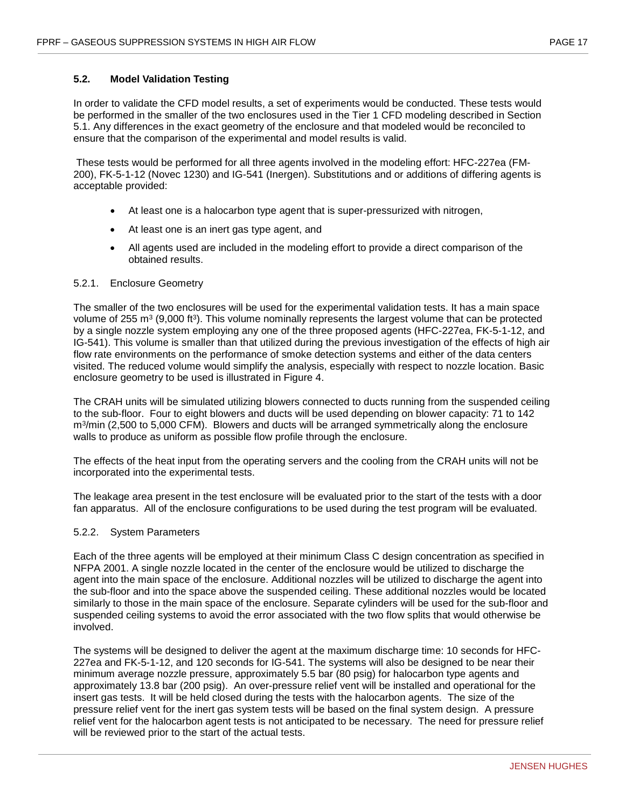#### <span id="page-24-0"></span>**5.2. Model Validation Testing**

In order to validate the CFD model results, a set of experiments would be conducted. These tests would be performed in the smaller of the two enclosures used in the Tier 1 CFD modeling described in Section 5.1. Any differences in the exact geometry of the enclosure and that modeled would be reconciled to ensure that the comparison of the experimental and model results is valid.

These tests would be performed for all three agents involved in the modeling effort: HFC-227ea (FM-200), FK-5-1-12 (Novec 1230) and IG-541 (Inergen). Substitutions and or additions of differing agents is acceptable provided:

- At least one is a halocarbon type agent that is super-pressurized with nitrogen,
- At least one is an inert gas type agent, and
- All agents used are included in the modeling effort to provide a direct comparison of the obtained results.

#### <span id="page-24-1"></span>5.2.1. Enclosure Geometry

The smaller of the two enclosures will be used for the experimental validation tests. It has a main space volume of 255 m<sup>3</sup> (9,000 ft<sup>3</sup>). This volume nominally represents the largest volume that can be protected by a single nozzle system employing any one of the three proposed agents (HFC-227ea, FK-5-1-12, and IG-541). This volume is smaller than that utilized during the previous investigation of the effects of high air flow rate environments on the performance of smoke detection systems and either of the data centers visited. The reduced volume would simplify the analysis, especially with respect to nozzle location. Basic enclosure geometry to be used is illustrated in Figure 4.

The CRAH units will be simulated utilizing blowers connected to ducts running from the suspended ceiling to the sub-floor. Four to eight blowers and ducts will be used depending on blower capacity: 71 to 142 m3/min (2,500 to 5,000 CFM). Blowers and ducts will be arranged symmetrically along the enclosure walls to produce as uniform as possible flow profile through the enclosure.

The effects of the heat input from the operating servers and the cooling from the CRAH units will not be incorporated into the experimental tests.

The leakage area present in the test enclosure will be evaluated prior to the start of the tests with a door fan apparatus. All of the enclosure configurations to be used during the test program will be evaluated.

#### <span id="page-24-2"></span>5.2.2. System Parameters

Each of the three agents will be employed at their minimum Class C design concentration as specified in NFPA 2001. A single nozzle located in the center of the enclosure would be utilized to discharge the agent into the main space of the enclosure. Additional nozzles will be utilized to discharge the agent into the sub-floor and into the space above the suspended ceiling. These additional nozzles would be located similarly to those in the main space of the enclosure. Separate cylinders will be used for the sub-floor and suspended ceiling systems to avoid the error associated with the two flow splits that would otherwise be involved.

The systems will be designed to deliver the agent at the maximum discharge time: 10 seconds for HFC-227ea and FK-5-1-12, and 120 seconds for IG-541. The systems will also be designed to be near their minimum average nozzle pressure, approximately 5.5 bar (80 psig) for halocarbon type agents and approximately 13.8 bar (200 psig). An over-pressure relief vent will be installed and operational for the insert gas tests. It will be held closed during the tests with the halocarbon agents. The size of the pressure relief vent for the inert gas system tests will be based on the final system design. A pressure relief vent for the halocarbon agent tests is not anticipated to be necessary. The need for pressure relief will be reviewed prior to the start of the actual tests.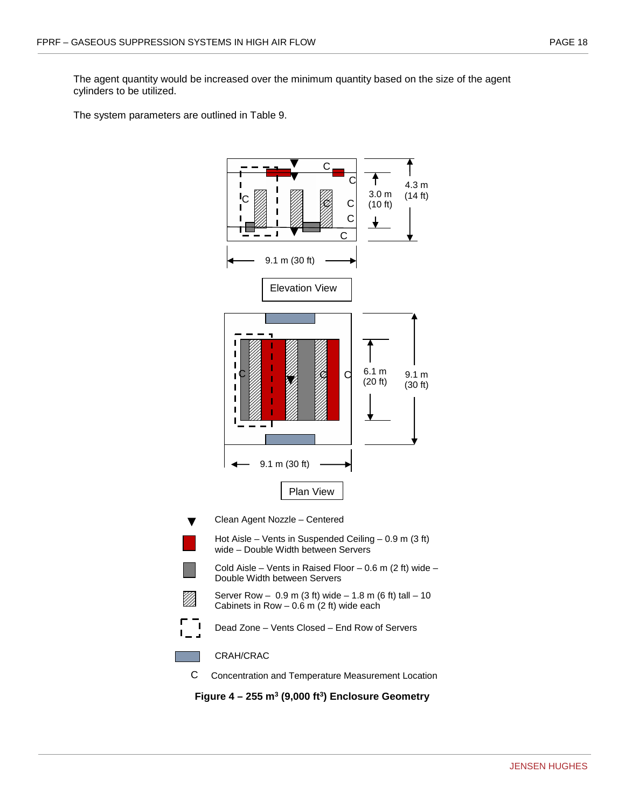The agent quantity would be increased over the minimum quantity based on the size of the agent cylinders to be utilized.

The system parameters are outlined in Table 9.



<span id="page-25-0"></span>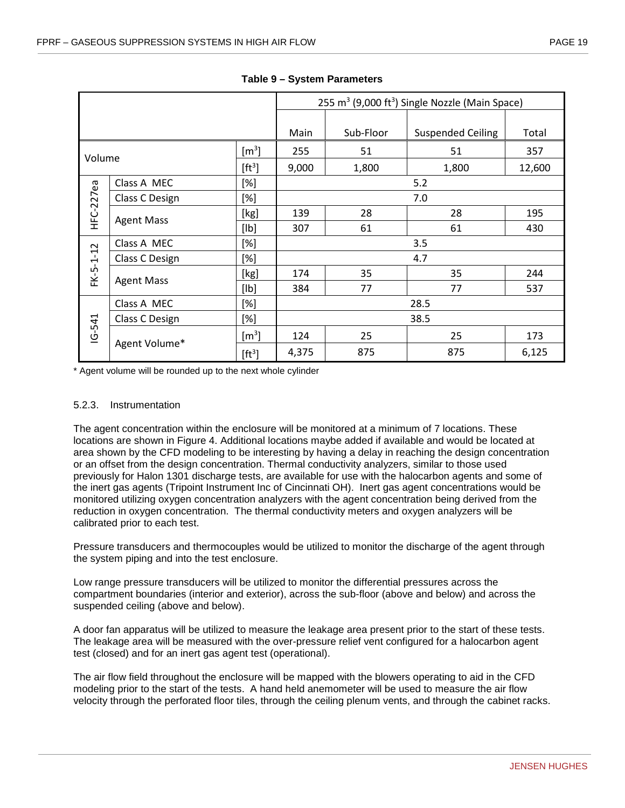<span id="page-26-1"></span>

|                           |                   |                    |       |                | 255 m <sup>3</sup> (9,000 ft <sup>3</sup> ) Single Nozzle (Main Space) |        |  |  |  |  |  |
|---------------------------|-------------------|--------------------|-------|----------------|------------------------------------------------------------------------|--------|--|--|--|--|--|
|                           |                   |                    |       |                |                                                                        |        |  |  |  |  |  |
|                           |                   |                    | Main  | Sub-Floor      | <b>Suspended Ceiling</b>                                               | Total  |  |  |  |  |  |
| $\left[\text{m}^3\right]$ |                   | 255                | 51    | 51             | 357                                                                    |        |  |  |  |  |  |
|                           | Volume            |                    | 9,000 | 1,800<br>1,800 |                                                                        | 12,600 |  |  |  |  |  |
|                           | Class A MEC       | [%]                | 5.2   |                |                                                                        |        |  |  |  |  |  |
| HFC-227ea                 | Class C Design    | [%]                |       | 7.0            |                                                                        |        |  |  |  |  |  |
|                           |                   | [kg]               | 139   | 28             | 28                                                                     | 195    |  |  |  |  |  |
|                           | <b>Agent Mass</b> | [Ib]               | 307   | 61             | 61                                                                     | 430    |  |  |  |  |  |
|                           | Class A MEC       | $[\%]$             |       |                | 3.5                                                                    |        |  |  |  |  |  |
|                           | Class C Design    | [%]                | 4.7   |                |                                                                        |        |  |  |  |  |  |
| FK-5-1-12                 |                   | [kg]               | 174   | 35             | 35                                                                     | 244    |  |  |  |  |  |
|                           | <b>Agent Mass</b> | [Ib]               | 384   | 77             | 77                                                                     | 537    |  |  |  |  |  |
|                           | Class A MEC       | [%]                | 28.5  |                |                                                                        |        |  |  |  |  |  |
|                           | Class C Design    | $[\%]$             |       |                | 38.5                                                                   |        |  |  |  |  |  |
| $16 - 541$                |                   | $\rm [m^3]$        | 124   | 25             | 25                                                                     | 173    |  |  |  |  |  |
|                           | Agent Volume*     | [ft <sup>3</sup> ] | 4,375 | 875            | 875                                                                    | 6,125  |  |  |  |  |  |

**Table 9 – System Parameters**

\* Agent volume will be rounded up to the next whole cylinder

#### <span id="page-26-0"></span>5.2.3. Instrumentation

The agent concentration within the enclosure will be monitored at a minimum of 7 locations. These locations are shown in Figure 4. Additional locations maybe added if available and would be located at area shown by the CFD modeling to be interesting by having a delay in reaching the design concentration or an offset from the design concentration. Thermal conductivity analyzers, similar to those used previously for Halon 1301 discharge tests, are available for use with the halocarbon agents and some of the inert gas agents (Tripoint Instrument Inc of Cincinnati OH). Inert gas agent concentrations would be monitored utilizing oxygen concentration analyzers with the agent concentration being derived from the reduction in oxygen concentration. The thermal conductivity meters and oxygen analyzers will be calibrated prior to each test.

Pressure transducers and thermocouples would be utilized to monitor the discharge of the agent through the system piping and into the test enclosure.

Low range pressure transducers will be utilized to monitor the differential pressures across the compartment boundaries (interior and exterior), across the sub-floor (above and below) and across the suspended ceiling (above and below).

A door fan apparatus will be utilized to measure the leakage area present prior to the start of these tests. The leakage area will be measured with the over-pressure relief vent configured for a halocarbon agent test (closed) and for an inert gas agent test (operational).

The air flow field throughout the enclosure will be mapped with the blowers operating to aid in the CFD modeling prior to the start of the tests. A hand held anemometer will be used to measure the air flow velocity through the perforated floor tiles, through the ceiling plenum vents, and through the cabinet racks.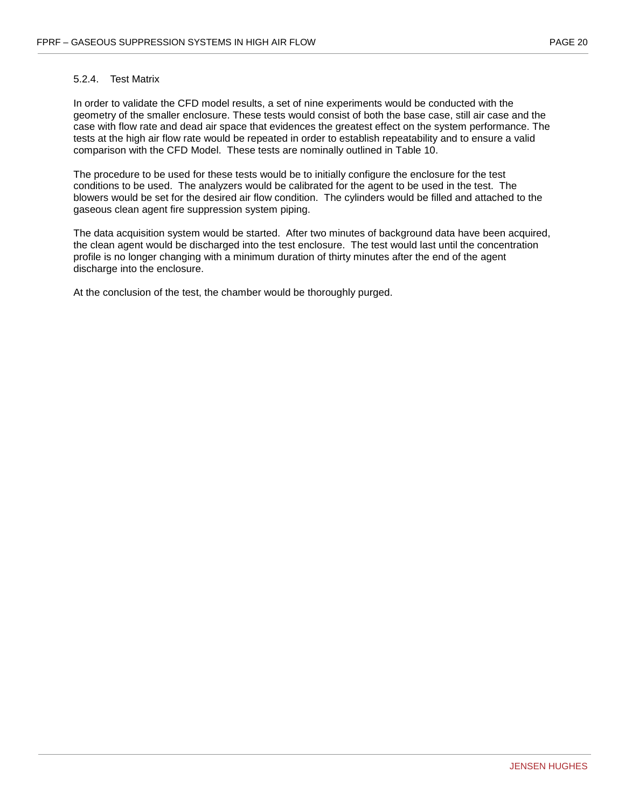#### <span id="page-27-0"></span>5.2.4. Test Matrix

In order to validate the CFD model results, a set of nine experiments would be conducted with the geometry of the smaller enclosure. These tests would consist of both the base case, still air case and the case with flow rate and dead air space that evidences the greatest effect on the system performance. The tests at the high air flow rate would be repeated in order to establish repeatability and to ensure a valid comparison with the CFD Model. These tests are nominally outlined in Table 10.

The procedure to be used for these tests would be to initially configure the enclosure for the test conditions to be used. The analyzers would be calibrated for the agent to be used in the test. The blowers would be set for the desired air flow condition. The cylinders would be filled and attached to the gaseous clean agent fire suppression system piping.

The data acquisition system would be started. After two minutes of background data have been acquired, the clean agent would be discharged into the test enclosure. The test would last until the concentration profile is no longer changing with a minimum duration of thirty minutes after the end of the agent discharge into the enclosure.

At the conclusion of the test, the chamber would be thoroughly purged.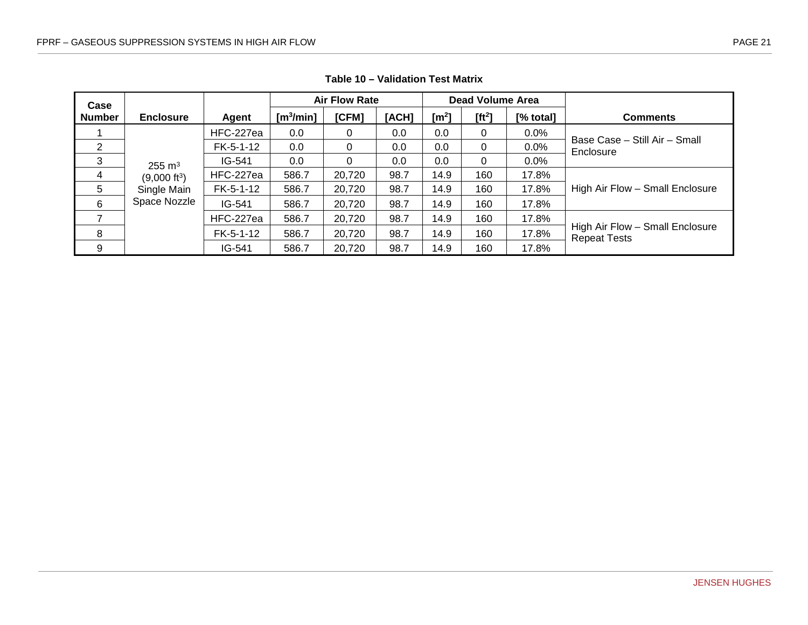<span id="page-28-0"></span>

| Case           |                          |           |                    | <b>Air Flow Rate</b> |       |          | <b>Dead Volume Area</b> |           |                                                        |
|----------------|--------------------------|-----------|--------------------|----------------------|-------|----------|-------------------------|-----------|--------------------------------------------------------|
| <b>Number</b>  | <b>Enclosure</b>         | Agent     | $\lceil m^3/m$ in] | [CFM]                | [ACH] | [ $m2$ ] | $[ft^2]$                | [% total] | <b>Comments</b>                                        |
|                |                          | HFC-227ea | 0.0                | 0                    | 0.0   | 0.0      | 0                       | $0.0\%$   |                                                        |
| 2              |                          | FK-5-1-12 | 0.0                | 0                    | 0.0   | 0.0      | 0                       | 0.0%      | Base Case - Still Air - Small<br>Enclosure             |
| 3              | $255 \text{ m}^3$        | $IG-541$  | 0.0                | 0                    | 0.0   | 0.0      | 0                       | $0.0\%$   |                                                        |
| $\overline{4}$ | (9,000 ft <sup>3</sup> ) | HFC-227ea | 586.7              | 20,720               | 98.7  | 14.9     | 160                     | 17.8%     |                                                        |
| 5              | Single Main              | FK-5-1-12 | 586.7              | 20,720               | 98.7  | 14.9     | 160                     | 17.8%     | High Air Flow - Small Enclosure                        |
| 6              | Space Nozzle             | IG-541    | 586.7              | 20,720               | 98.7  | 14.9     | 160                     | 17.8%     |                                                        |
|                |                          | HFC-227ea | 586.7              | 20,720               | 98.7  | 14.9     | 160                     | 17.8%     |                                                        |
| 8              |                          | FK-5-1-12 | 586.7              | 20,720               | 98.7  | 14.9     | 160                     | 17.8%     | High Air Flow - Small Enclosure<br><b>Repeat Tests</b> |
| 9              |                          | IG-541    | 586.7              | 20,720               | 98.7  | 14.9     | 160                     | 17.8%     |                                                        |

**Table 10 – Validation Test Matrix**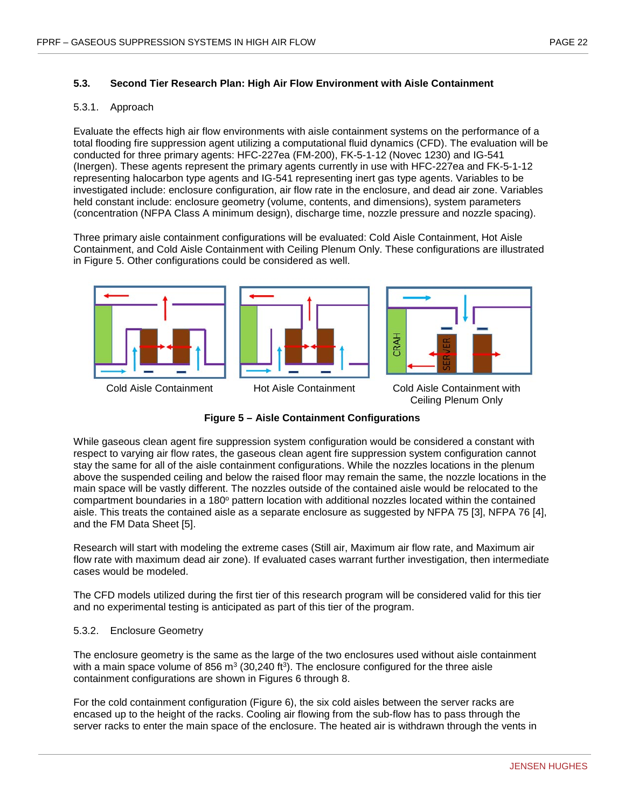#### <span id="page-29-0"></span>**5.3. Second Tier Research Plan: High Air Flow Environment with Aisle Containment**

#### <span id="page-29-1"></span>5.3.1. Approach

Evaluate the effects high air flow environments with aisle containment systems on the performance of a total flooding fire suppression agent utilizing a computational fluid dynamics (CFD). The evaluation will be conducted for three primary agents: HFC-227ea (FM-200), FK-5-1-12 (Novec 1230) and IG-541 (Inergen). These agents represent the primary agents currently in use with HFC-227ea and FK-5-1-12 representing halocarbon type agents and IG-541 representing inert gas type agents. Variables to be investigated include: enclosure configuration, air flow rate in the enclosure, and dead air zone. Variables held constant include: enclosure geometry (volume, contents, and dimensions), system parameters (concentration (NFPA Class A minimum design), discharge time, nozzle pressure and nozzle spacing).

Three primary aisle containment configurations will be evaluated: Cold Aisle Containment, Hot Aisle Containment, and Cold Aisle Containment with Ceiling Plenum Only. These configurations are illustrated in Figure 5. Other configurations could be considered as well.





Ceiling Plenum Only

**Figure 5 – Aisle Containment Configurations**

<span id="page-29-3"></span>While gaseous clean agent fire suppression system configuration would be considered a constant with respect to varying air flow rates, the gaseous clean agent fire suppression system configuration cannot stay the same for all of the aisle containment configurations. While the nozzles locations in the plenum above the suspended ceiling and below the raised floor may remain the same, the nozzle locations in the main space will be vastly different. The nozzles outside of the contained aisle would be relocated to the compartment boundaries in a 180° pattern location with additional nozzles located within the contained aisle. This treats the contained aisle as a separate enclosure as suggested by NFPA 75 [3], NFPA 76 [4], and the FM Data Sheet [5].

Research will start with modeling the extreme cases (Still air, Maximum air flow rate, and Maximum air flow rate with maximum dead air zone). If evaluated cases warrant further investigation, then intermediate cases would be modeled.

The CFD models utilized during the first tier of this research program will be considered valid for this tier and no experimental testing is anticipated as part of this tier of the program.

#### <span id="page-29-2"></span>5.3.2. Enclosure Geometry

The enclosure geometry is the same as the large of the two enclosures used without aisle containment with a main space volume of 856  $m<sup>3</sup>$  (30,240 ft<sup>3</sup>). The enclosure configured for the three aisle containment configurations are shown in Figures 6 through 8.

For the cold containment configuration (Figure 6), the six cold aisles between the server racks are encased up to the height of the racks. Cooling air flowing from the sub-flow has to pass through the server racks to enter the main space of the enclosure. The heated air is withdrawn through the vents in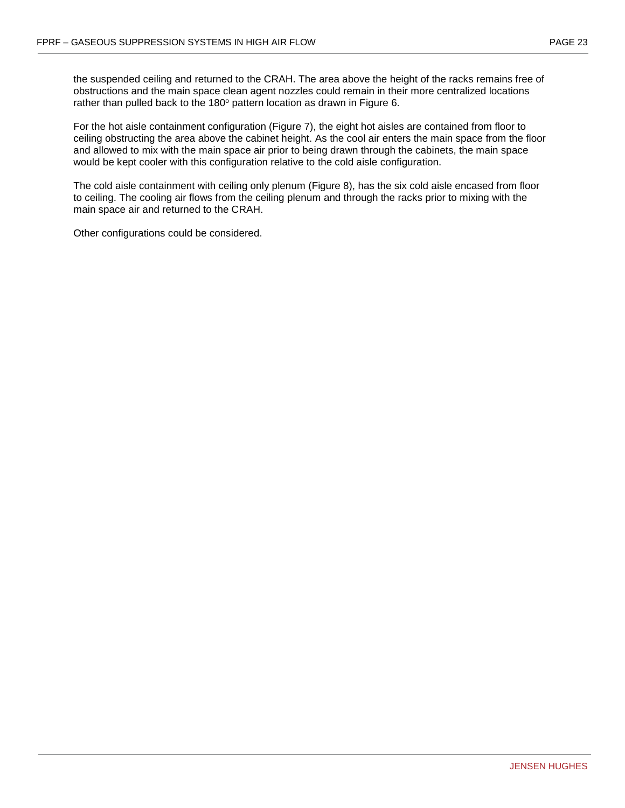the suspended ceiling and returned to the CRAH. The area above the height of the racks remains free of obstructions and the main space clean agent nozzles could remain in their more centralized locations rather than pulled back to the 180° pattern location as drawn in Figure 6.

For the hot aisle containment configuration (Figure 7), the eight hot aisles are contained from floor to ceiling obstructing the area above the cabinet height. As the cool air enters the main space from the floor and allowed to mix with the main space air prior to being drawn through the cabinets, the main space would be kept cooler with this configuration relative to the cold aisle configuration.

The cold aisle containment with ceiling only plenum (Figure 8), has the six cold aisle encased from floor to ceiling. The cooling air flows from the ceiling plenum and through the racks prior to mixing with the main space air and returned to the CRAH.

Other configurations could be considered.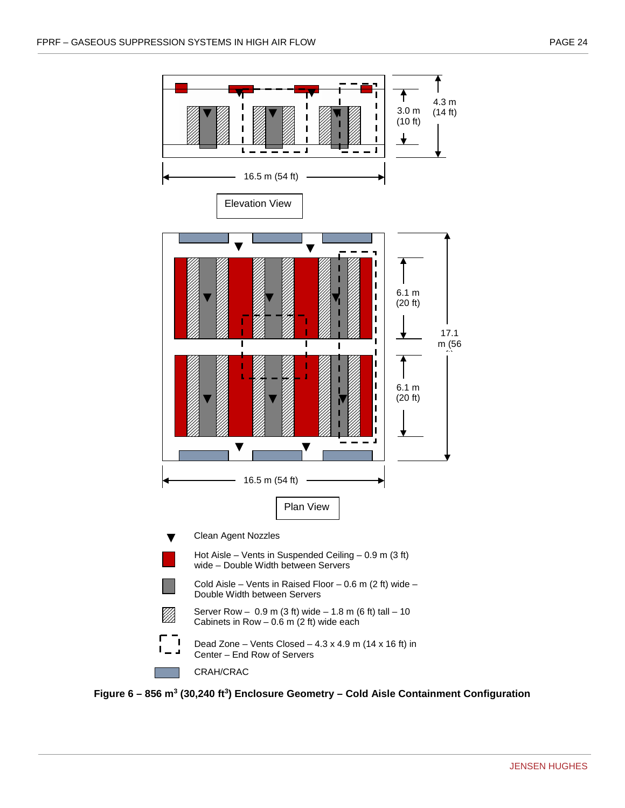

<span id="page-31-0"></span>**Figure 6 – 856 m3 (30,240 ft3) Enclosure Geometry – Cold Aisle Containment Configuration**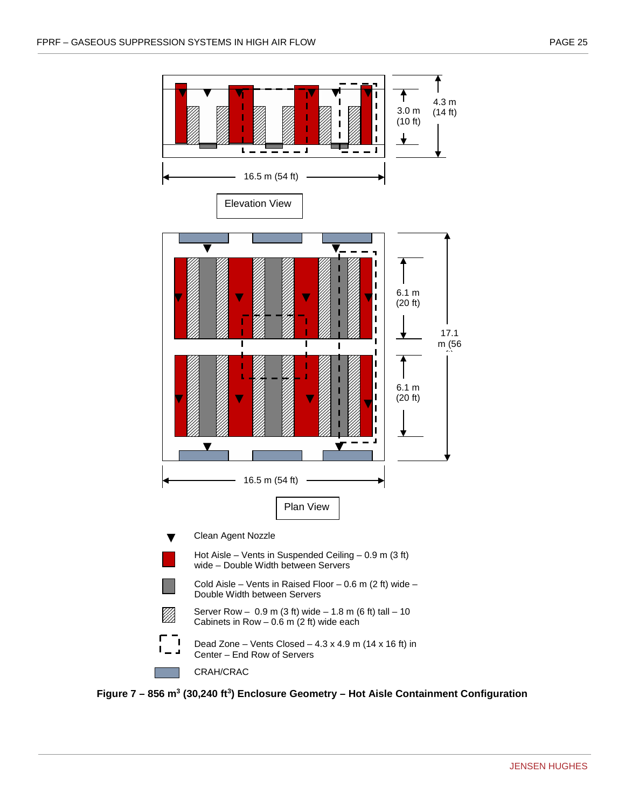

<span id="page-32-0"></span>**Figure 7 – 856 m3 (30,240 ft3) Enclosure Geometry – Hot Aisle Containment Configuration**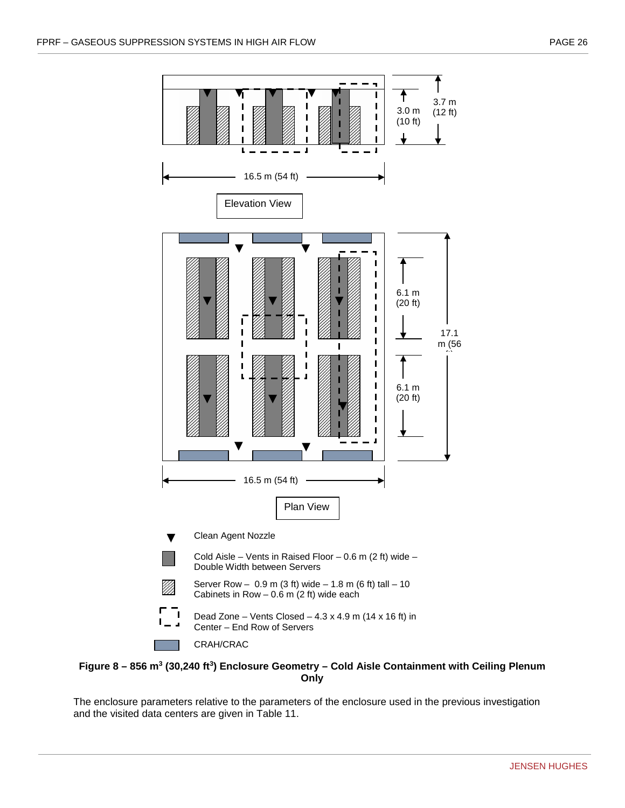

#### <span id="page-33-0"></span>**Figure 8 – 856 m3 (30,240 ft3) Enclosure Geometry – Cold Aisle Containment with Ceiling Plenum Only**

The enclosure parameters relative to the parameters of the enclosure used in the previous investigation and the visited data centers are given in Table 11.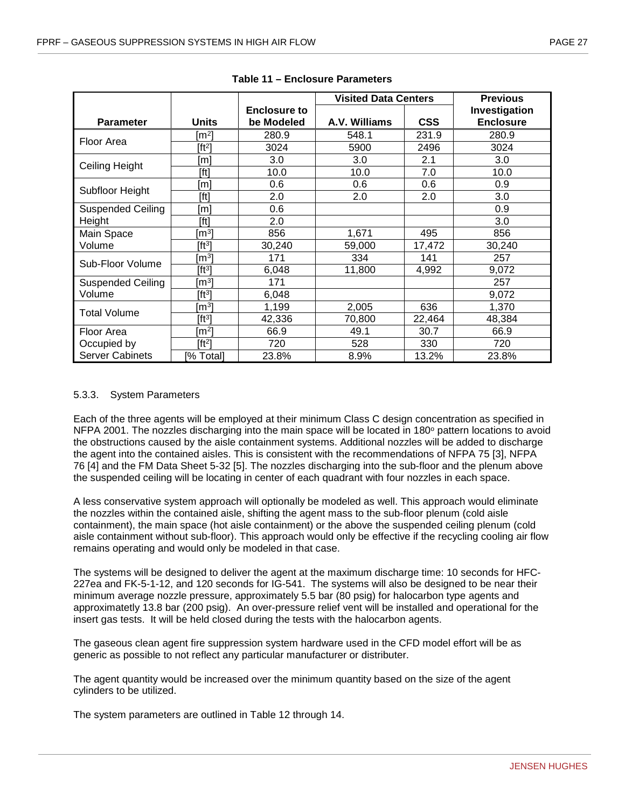<span id="page-34-1"></span>

|                          |                     |                     | <b>Visited Data Centers</b> |            | <b>Previous</b>  |
|--------------------------|---------------------|---------------------|-----------------------------|------------|------------------|
|                          |                     | <b>Enclosure to</b> |                             |            | Investigation    |
| <b>Parameter</b>         | <b>Units</b>        | be Modeled          | A.V. Williams               | <b>CSS</b> | <b>Enclosure</b> |
| Floor Area               | $\lceil m^2 \rceil$ | 280.9               | 548.1                       | 231.9      | 280.9            |
|                          | $[ft^2]$            | 3024                | 5900                        | 2496       | 3024             |
| Ceiling Height           | [m]                 | 3.0                 | 3.0                         | 2.1        | 3.0              |
|                          | [ft]                | 10.0                | 10.0                        | 7.0        | 10.0             |
| Subfloor Height          | [m]                 | 0.6                 | 0.6                         | 0.6        | 0.9              |
|                          | [ft]                | 2.0                 | 2.0                         | 2.0        | 3.0              |
| <b>Suspended Ceiling</b> | [m]                 | 0.6                 |                             |            | 0.9              |
| Height                   | [ft]                | 2.0                 |                             |            | 3.0              |
| Main Space               | $\lceil m^3 \rceil$ | 856                 | 1,671                       | 495        | 856              |
| Volume                   | [ft3]               | 30,240              | 59,000                      | 17,472     | 30,240           |
| Sub-Floor Volume         | [m $^{3}$ ]         | 171                 | 334                         | 141        | 257              |
|                          | [ft3]               | 6,048               | 11,800                      | 4,992      | 9,072            |
| <b>Suspended Ceiling</b> | [m $^{3}$ ]         | 171                 |                             |            | 257              |
| Volume                   | $[ft^3]$            | 6,048               |                             |            | 9,072            |
| <b>Total Volume</b>      | [m $^{3}$ ]         | 1,199               | 2,005                       | 636        | 1,370            |
|                          | $[ft^3]$            | 42,336              | 70,800                      | 22,464     | 48,384           |
| Floor Area               | [m $^{2}$ ]         | 66.9                | 49.1                        | 30.7       | 66.9             |
| Occupied by              | $[ft^2]$            | 720                 | 528                         | 330        | 720              |
| <b>Server Cabinets</b>   | % Total]            | 23.8%               | 8.9%                        | 13.2%      | 23.8%            |

**Table 11 – Enclosure Parameters**

#### <span id="page-34-0"></span>5.3.3. System Parameters

Each of the three agents will be employed at their minimum Class C design concentration as specified in NFPA 2001. The nozzles discharging into the main space will be located in 180° pattern locations to avoid the obstructions caused by the aisle containment systems. Additional nozzles will be added to discharge the agent into the contained aisles. This is consistent with the recommendations of NFPA 75 [3], NFPA 76 [4] and the FM Data Sheet 5-32 [5]. The nozzles discharging into the sub-floor and the plenum above the suspended ceiling will be locating in center of each quadrant with four nozzles in each space.

A less conservative system approach will optionally be modeled as well. This approach would eliminate the nozzles within the contained aisle, shifting the agent mass to the sub-floor plenum (cold aisle containment), the main space (hot aisle containment) or the above the suspended ceiling plenum (cold aisle containment without sub-floor). This approach would only be effective if the recycling cooling air flow remains operating and would only be modeled in that case.

The systems will be designed to deliver the agent at the maximum discharge time: 10 seconds for HFC-227ea and FK-5-1-12, and 120 seconds for IG-541. The systems will also be designed to be near their minimum average nozzle pressure, approximately 5.5 bar (80 psig) for halocarbon type agents and approximatetly 13.8 bar (200 psig). An over-pressure relief vent will be installed and operational for the insert gas tests. It will be held closed during the tests with the halocarbon agents.

The gaseous clean agent fire suppression system hardware used in the CFD model effort will be as generic as possible to not reflect any particular manufacturer or distributer.

The agent quantity would be increased over the minimum quantity based on the size of the agent cylinders to be utilized.

The system parameters are outlined in Table 12 through 14.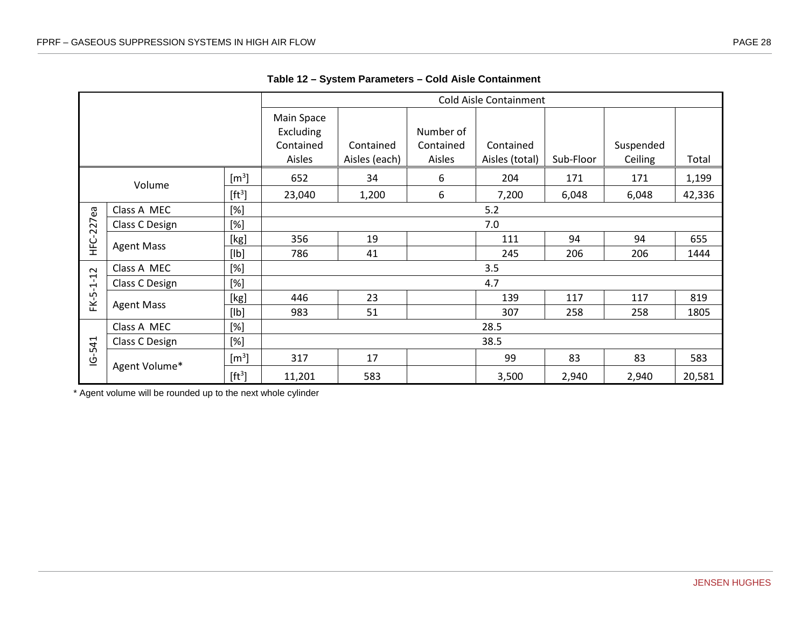|                              |                   |                       |                                                |                            |                                  | <b>Cold Aisle Containment</b> |           |                      |        |  |  |  |  |
|------------------------------|-------------------|-----------------------|------------------------------------------------|----------------------------|----------------------------------|-------------------------------|-----------|----------------------|--------|--|--|--|--|
|                              |                   |                       | Main Space<br>Excluding<br>Contained<br>Aisles | Contained<br>Aisles (each) | Number of<br>Contained<br>Aisles | Contained<br>Aisles (total)   | Sub-Floor | Suspended<br>Ceiling | Total  |  |  |  |  |
|                              | Volume            | $\text{[m}^3\text{]}$ | 652                                            | 34                         | 6                                | 204                           | 171       | 171                  | 1,199  |  |  |  |  |
|                              |                   | $[ft^3]$              | 23,040                                         | 1,200                      | 6                                | 7,200                         | 6,048     | 6,048                | 42,336 |  |  |  |  |
| $[\%]$<br>Class A MEC<br>5.2 |                   |                       |                                                |                            |                                  |                               |           |                      |        |  |  |  |  |
| $-227ea$                     | Class C Design    | $[\%]$                |                                                | 7.0                        |                                  |                               |           |                      |        |  |  |  |  |
| ن<br>±                       | <b>Agent Mass</b> | [kg]                  | 356                                            | 19                         |                                  | 111                           | 94        | 94                   | 655    |  |  |  |  |
|                              |                   | [Ib]                  | 786                                            | 41                         |                                  | 245                           | 206       | 206                  | 1444   |  |  |  |  |
| 12                           | Class A MEC       | $[\%]$                | 3.5                                            |                            |                                  |                               |           |                      |        |  |  |  |  |
| $\mathbf{I}$<br>ٻ            | Class C Design    | $[\%]$                |                                                |                            |                                  | 4.7                           |           |                      |        |  |  |  |  |
| FK-5                         | <b>Agent Mass</b> | [kg]                  | 446                                            | 23                         |                                  | 139                           | 117       | 117                  | 819    |  |  |  |  |
|                              |                   | [lb]                  | 983                                            | 51                         |                                  | 307                           | 258       | 258                  | 1805   |  |  |  |  |
|                              | Class A MEC       | $[\%]$                |                                                |                            |                                  | 28.5                          |           |                      |        |  |  |  |  |
| $-541$                       | Class C Design    | $[\%]$                |                                                |                            |                                  | 38.5                          |           |                      |        |  |  |  |  |
| $\overline{6}$               | Agent Volume*     | $\text{[m}^3\text{]}$ | 317                                            | 17                         |                                  | 99                            | 83        | 83                   | 583    |  |  |  |  |
|                              |                   | $[ft^3]$              | 11,201                                         | 583                        |                                  | 3,500                         | 2,940     | 2,940                | 20,581 |  |  |  |  |

**Table 12 – System Parameters – Cold Aisle Containment**

<span id="page-35-0"></span>\* Agent volume will be rounded up to the next whole cylinder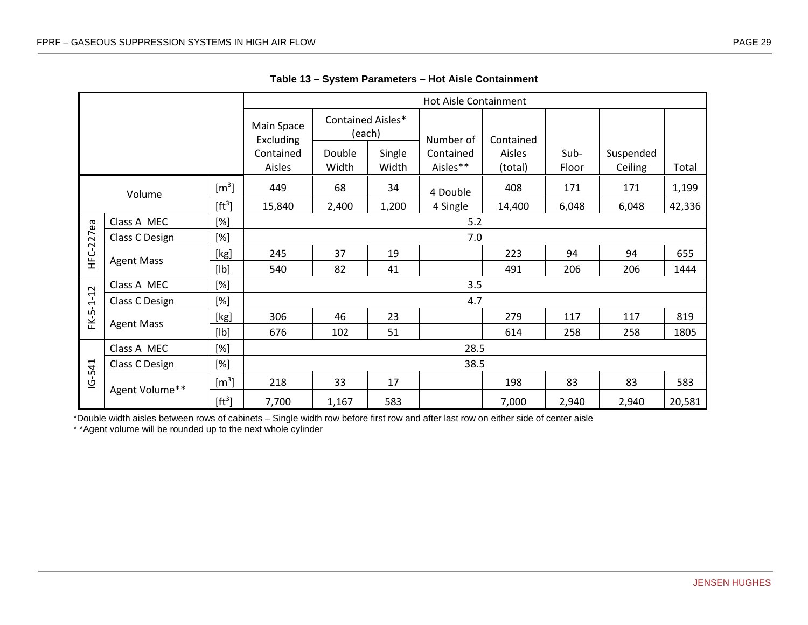|                |                   |                     |                         |                   |                       | <b>Hot Aisle Containment</b> |               |                      |       |        |  |  |  |  |
|----------------|-------------------|---------------------|-------------------------|-------------------|-----------------------|------------------------------|---------------|----------------------|-------|--------|--|--|--|--|
|                |                   |                     | Main Space<br>Excluding | Contained Aisles* | (each)                | Number of                    | Contained     |                      |       |        |  |  |  |  |
|                |                   | Contained<br>Aisles | Double<br>Width         | Single<br>Width   | Contained<br>Aisles** | Aisles<br>(total)            | Sub-<br>Floor | Suspended<br>Ceiling | Total |        |  |  |  |  |
|                | Volume            | $\rm [m^3]$         | 449                     | 68                | 34                    | 4 Double                     | 408           | 171                  | 171   | 1,199  |  |  |  |  |
|                |                   | $[ft^3]$            | 15,840                  | 2,400             | 1,200                 | 4 Single                     | 14,400        | 6,048                | 6,048 | 42,336 |  |  |  |  |
| εø             | Class A MEC       | $[\%]$              |                         | 5.2               |                       |                              |               |                      |       |        |  |  |  |  |
|                | Class C Design    | $[\%]$              |                         | 7.0               |                       |                              |               |                      |       |        |  |  |  |  |
| <b>HFC-227</b> | <b>Agent Mass</b> | [kg]                | 245                     | 37                | 19                    |                              | 223           | 94                   | 94    | 655    |  |  |  |  |
|                |                   | [lb]                | 540                     | 82                | 41                    |                              | 491           | 206                  | 206   | 1444   |  |  |  |  |
|                | Class A MEC       | $[\%]$              | 3.5                     |                   |                       |                              |               |                      |       |        |  |  |  |  |
| $-1 - 12$      | Class C Design    | [%]                 |                         |                   |                       | 4.7                          |               |                      |       |        |  |  |  |  |
| FK-5           | <b>Agent Mass</b> | [kg]                | 306                     | 46                | 23                    |                              | 279           | 117                  | 117   | 819    |  |  |  |  |
|                |                   | [lb]                | 676                     | 102               | 51                    |                              | 614           | 258                  | 258   | 1805   |  |  |  |  |
|                | Class A MEC       | $[\%]$              |                         |                   |                       | 28.5                         |               |                      |       |        |  |  |  |  |
| $-541$         | Class C Design    | [%]                 |                         |                   |                       | 38.5                         |               |                      |       |        |  |  |  |  |
| <u>پ</u>       | Agent Volume**    | $\rm [m^3]$         | 218                     | 33                | 17                    |                              | 198           | 83                   | 83    | 583    |  |  |  |  |
|                |                   | $[ft^3]$            | 7,700                   | 1,167             | 583                   |                              | 7,000         | 2,940                | 2,940 | 20,581 |  |  |  |  |

**Table 13 – System Parameters – Hot Aisle Containment**

<span id="page-36-0"></span>\*Double width aisles between rows of cabinets – Single width row before first row and after last row on either side of center aisle

\* \*Agent volume will be rounded up to the next whole cylinder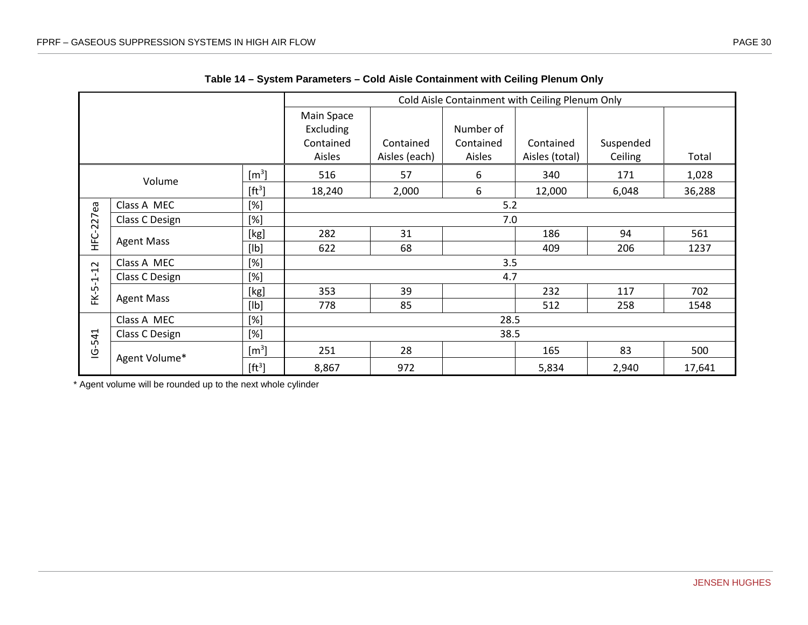|            |                   |                           |                                                |                            |                                  | Cold Aisle Containment with Ceiling Plenum Only |                      |        |  |  |  |  |  |
|------------|-------------------|---------------------------|------------------------------------------------|----------------------------|----------------------------------|-------------------------------------------------|----------------------|--------|--|--|--|--|--|
|            |                   |                           | Main Space<br>Excluding<br>Contained<br>Aisles | Contained<br>Aisles (each) | Number of<br>Contained<br>Aisles | Contained<br>Aisles (total)                     | Suspended<br>Ceiling | Total  |  |  |  |  |  |
|            | Volume            | $\left[\text{m}^3\right]$ | 516                                            | 57                         | 6                                | 340                                             | 171                  | 1,028  |  |  |  |  |  |
|            |                   | $[ft^3]$                  | 18,240                                         | 2,000                      | 6                                | 12,000                                          | 6,048                | 36,288 |  |  |  |  |  |
|            | Class A MEC       | [%]                       |                                                |                            | 5.2                              |                                                 |                      |        |  |  |  |  |  |
| HFC-227ea  | Class C Design    | [%]                       |                                                | 7.0                        |                                  |                                                 |                      |        |  |  |  |  |  |
|            | <b>Agent Mass</b> | [kg]                      | 282                                            | 31                         |                                  | 186                                             | 94                   | 561    |  |  |  |  |  |
|            |                   | [lb]                      | 622                                            | 68                         |                                  | 409                                             | 206                  | 1237   |  |  |  |  |  |
|            | Class A MEC       | [%]                       |                                                | 3.5                        |                                  |                                                 |                      |        |  |  |  |  |  |
| FK-5-1-12  | Class C Design    | [%]                       |                                                | 4.7                        |                                  |                                                 |                      |        |  |  |  |  |  |
|            | <b>Agent Mass</b> | [kg]                      | 353                                            | 39                         |                                  | 232                                             | 117                  | 702    |  |  |  |  |  |
|            |                   | [lb]                      | 778                                            | 85                         |                                  | 512                                             | 258                  | 1548   |  |  |  |  |  |
|            | Class A MEC       | $[\%]$                    |                                                |                            | 28.5                             |                                                 |                      |        |  |  |  |  |  |
|            | Class C Design    | [%]                       |                                                |                            | 38.5                             |                                                 |                      |        |  |  |  |  |  |
| $IG - 541$ | Agent Volume*     | $\left[\text{m}^3\right]$ | 251                                            | 28                         |                                  | 165                                             | 83                   | 500    |  |  |  |  |  |
|            |                   | $[ft^3]$                  | 8,867                                          | 972                        |                                  | 5,834                                           | 2,940                | 17,641 |  |  |  |  |  |

| Table 14 - System Parameters - Cold Aisle Containment with Ceiling Plenum Only |  |  |  |
|--------------------------------------------------------------------------------|--|--|--|
|--------------------------------------------------------------------------------|--|--|--|

<span id="page-37-0"></span>\* Agent volume will be rounded up to the next whole cylinder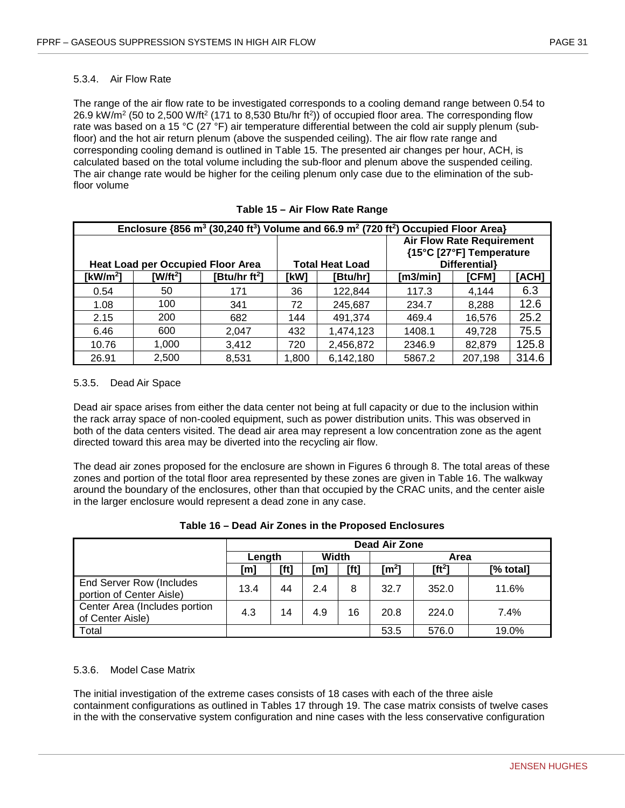#### <span id="page-38-0"></span>5.3.4. Air Flow Rate

The range of the air flow rate to be investigated corresponds to a cooling demand range between 0.54 to 26.9 kW/m2 (50 to 2,500 W/ft2 (171 to 8,530 Btu/hr ft2)) of occupied floor area. The corresponding flow rate was based on a 15 °C (27 °F) air temperature differential between the cold air supply plenum (subfloor) and the hot air return plenum (above the suspended ceiling). The air flow rate range and corresponding cooling demand is outlined in Table 15. The presented air changes per hour, ACH, is calculated based on the total volume including the sub-floor and plenum above the suspended ceiling. The air change rate would be higher for the ceiling plenum only case due to the elimination of the subfloor volume

<span id="page-38-3"></span>

|             | Enclosure $\{856 \text{ m}^3 \ (30,240 \text{ ft}^3)\}$ Volume and 66.9 m <sup>2</sup> (720 ft <sup>2</sup> ) Occupied Floor Area} |                           |       |                        |          |                                  |       |  |  |  |  |  |
|-------------|------------------------------------------------------------------------------------------------------------------------------------|---------------------------|-------|------------------------|----------|----------------------------------|-------|--|--|--|--|--|
|             |                                                                                                                                    |                           |       |                        |          | <b>Air Flow Rate Requirement</b> |       |  |  |  |  |  |
|             |                                                                                                                                    |                           |       |                        |          | {15°C [27°F] Temperature         |       |  |  |  |  |  |
|             | <b>Heat Load per Occupied Floor Area</b>                                                                                           |                           |       | <b>Total Heat Load</b> |          | Differential}                    |       |  |  |  |  |  |
| [ $kW/m2$ ] | [W/ft <sup>2</sup> ]                                                                                                               | [Btu/hr ft <sup>2</sup> ] | [kW]  | [Btu/hr]               | [m3/min] | [ACH]                            |       |  |  |  |  |  |
| 0.54        | 50                                                                                                                                 | 171                       | 36    | 122,844                | 117.3    | 4.144                            | 6.3   |  |  |  |  |  |
| 1.08        | 100                                                                                                                                | 341                       | 72    | 245.687                | 234.7    | 8,288                            | 12.6  |  |  |  |  |  |
| 2.15        | 200                                                                                                                                | 682                       | 144   | 491,374                | 469.4    | 16,576                           | 25.2  |  |  |  |  |  |
| 6.46        | 600                                                                                                                                | 2.047                     | 432   | 1,474,123              | 1408.1   | 49.728                           | 75.5  |  |  |  |  |  |
| 10.76       | 1,000                                                                                                                              | 3,412                     | 720   | 2,456,872              | 2346.9   | 82,879                           | 125.8 |  |  |  |  |  |
| 26.91       | 2.500                                                                                                                              | 8,531                     | 1,800 | 6,142,180              | 5867.2   | 207,198                          | 314.6 |  |  |  |  |  |

|  |  |  |  |  | Table 15 - Air Flow Rate Range |
|--|--|--|--|--|--------------------------------|
|--|--|--|--|--|--------------------------------|

#### <span id="page-38-1"></span>5.3.5. Dead Air Space

Dead air space arises from either the data center not being at full capacity or due to the inclusion within the rack array space of non-cooled equipment, such as power distribution units. This was observed in both of the data centers visited. The dead air area may represent a low concentration zone as the agent directed toward this area may be diverted into the recycling air flow.

The dead air zones proposed for the enclosure are shown in Figures 6 through 8. The total areas of these zones and portion of the total floor area represented by these zones are given in Table 16. The walkway around the boundary of the enclosures, other than that occupied by the CRAC units, and the center aisle in the larger enclosure would represent a dead zone in any case.

<span id="page-38-4"></span>

|                                                      |      | Dead Air Zone   |     |      |                   |          |           |  |  |  |  |
|------------------------------------------------------|------|-----------------|-----|------|-------------------|----------|-----------|--|--|--|--|
|                                                      |      | Width<br>Length |     |      | Area              |          |           |  |  |  |  |
|                                                      | [m]  | [ft]            | m]  | [ft] | [m <sup>2</sup> ] | $[ft^2]$ | [% total] |  |  |  |  |
| End Server Row (Includes<br>portion of Center Aisle) | 13.4 | 44              | 2.4 | 8    | 32.7              | 352.0    | 11.6%     |  |  |  |  |
| Center Area (Includes portion<br>of Center Aisle)    | 4.3  | 14              | 4.9 | 16   | 20.8              | 224.0    | 7.4%      |  |  |  |  |
| Total                                                |      |                 |     |      | 53.5              | 576.0    | 19.0%     |  |  |  |  |

#### <span id="page-38-2"></span>5.3.6. Model Case Matrix

The initial investigation of the extreme cases consists of 18 cases with each of the three aisle containment configurations as outlined in Tables 17 through 19. The case matrix consists of twelve cases in the with the conservative system configuration and nine cases with the less conservative configuration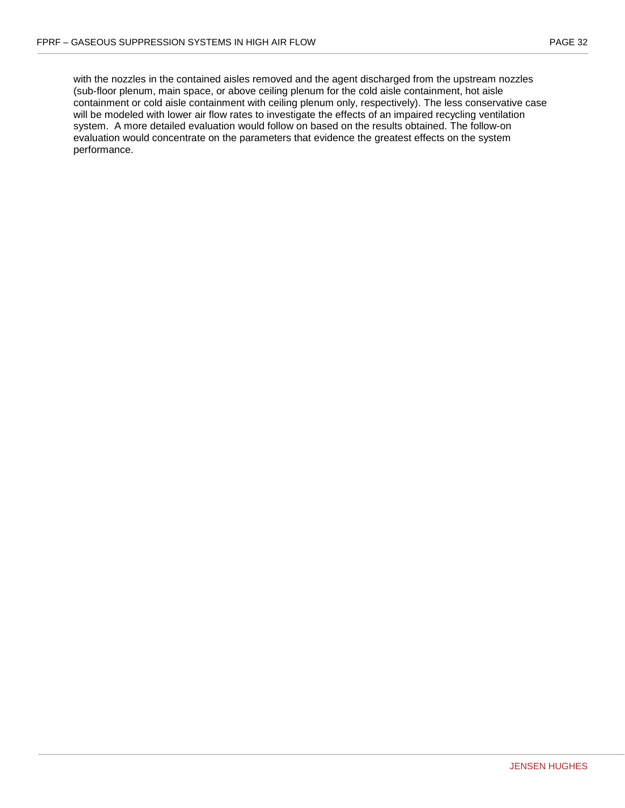with the nozzles in the contained aisles removed and the agent discharged from the upstream nozzles (sub-floor plenum, main space, or above ceiling plenum for the cold aisle containment, hot aisle containment or cold aisle containment with ceiling plenum only, respectively). The less conservative case will be modeled with lower air flow rates to investigate the effects of an impaired recycling ventilation system. A more detailed evaluation would follow on based on the results obtained. The follow-on evaluation would concentrate on the parameters that evidence the greatest effects on the system performance.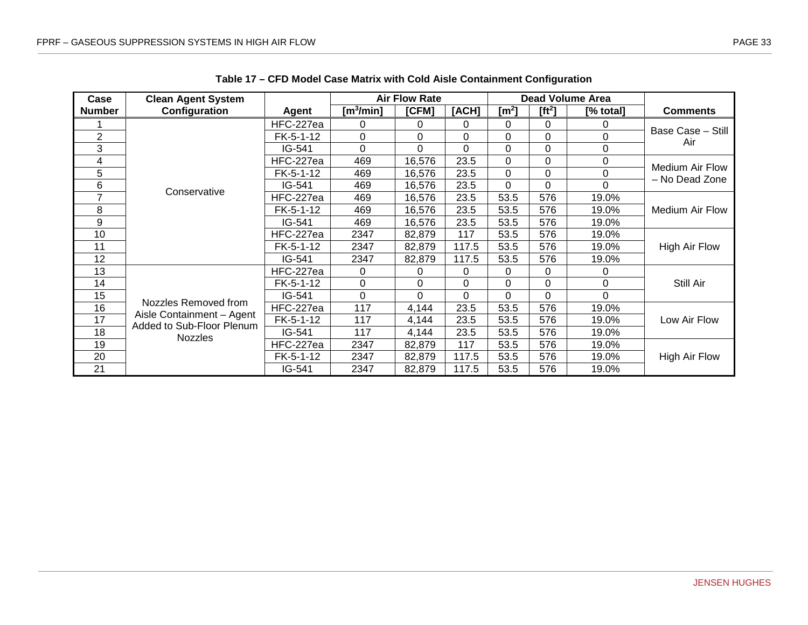<span id="page-40-0"></span>

| Case           | <b>Clean Agent System</b>                              |           |              | <b>Air Flow Rate</b> |             |                   |          | <b>Dead Volume Area</b> |                          |
|----------------|--------------------------------------------------------|-----------|--------------|----------------------|-------------|-------------------|----------|-------------------------|--------------------------|
| <b>Number</b>  | Configuration                                          | Agent     | [m $3$ /min] | [CFM]                | [ACH]       | [m <sup>2</sup> ] | $[ft^2]$ | [% total]               | <b>Comments</b>          |
|                |                                                        | HFC-227ea | 0            | 0                    | 0           | 0                 | 0        | 0                       |                          |
| $\overline{2}$ |                                                        | FK-5-1-12 | $\Omega$     | 0                    | $\Omega$    | 0                 | $\Omega$ | 0                       | Base Case - Still<br>Air |
| 3              |                                                        | IG-541    | $\Omega$     | 0                    | $\Omega$    | 0                 | $\Omega$ | 0                       |                          |
| 4              |                                                        | HFC-227ea | 469          | 16,576               | 23.5        | 0                 | 0        | 0                       | Medium Air Flow          |
| 5              |                                                        | FK-5-1-12 | 469          | 16,576               | 23.5        | $\Omega$          | $\Omega$ | 0                       | - No Dead Zone           |
| 6              | Conservative                                           | IG-541    | 469          | 16,576               | 23.5        | $\Omega$          | $\Omega$ | $\Omega$                |                          |
| 7              |                                                        | HFC-227ea | 469          | 16,576               | 23.5        | 53.5              | 576      | 19.0%                   |                          |
| 8              |                                                        | FK-5-1-12 | 469          | 16,576               | 23.5        | 53.5              | 576      | 19.0%                   | Medium Air Flow          |
| 9              |                                                        | IG-541    | 469          | 16,576               | 23.5        | 53.5              | 576      | 19.0%                   |                          |
| 10             |                                                        | HFC-227ea | 2347         | 82,879               | 117         | 53.5              | 576      | 19.0%                   |                          |
| 11             |                                                        | FK-5-1-12 | 2347         | 82,879               | 117.5       | 53.5              | 576      | 19.0%                   | <b>High Air Flow</b>     |
| 12             |                                                        | IG-541    | 2347         | 82,879               | 117.5       | 53.5              | 576      | 19.0%                   |                          |
| 13             |                                                        | HFC-227ea | 0            | 0                    | 0           | 0                 | 0        | 0                       |                          |
| 14             |                                                        | FK-5-1-12 | $\Omega$     | 0                    | $\Omega$    | 0                 | $\Omega$ | 0                       | Still Air                |
| 15             |                                                        | IG-541    | $\Omega$     | 0                    | $\mathbf 0$ | 0                 | 0        | 0                       |                          |
| 16             | Nozzles Removed from                                   | HFC-227ea | 117          | 4,144                | 23.5        | 53.5              | 576      | 19.0%                   |                          |
| 17             | Aisle Containment - Agent<br>Added to Sub-Floor Plenum | FK-5-1-12 | 117          | 4,144                | 23.5        | 53.5              | 576      | 19.0%                   | Low Air Flow             |
| 18             | <b>Nozzles</b>                                         | IG-541    | 117          | 4,144                | 23.5        | 53.5              | 576      | 19.0%                   |                          |
| 19             |                                                        | HFC-227ea | 2347         | 82,879               | 117         | 53.5              | 576      | 19.0%                   |                          |
| 20             |                                                        | FK-5-1-12 | 2347         | 82,879               | 117.5       | 53.5              | 576      | 19.0%                   | High Air Flow            |
| 21             |                                                        | IG-541    | 2347         | 82,879               | 117.5       | 53.5              | 576      | 19.0%                   |                          |

**Table 17 – CFD Model Case Matrix with Cold Aisle Containment Configuration**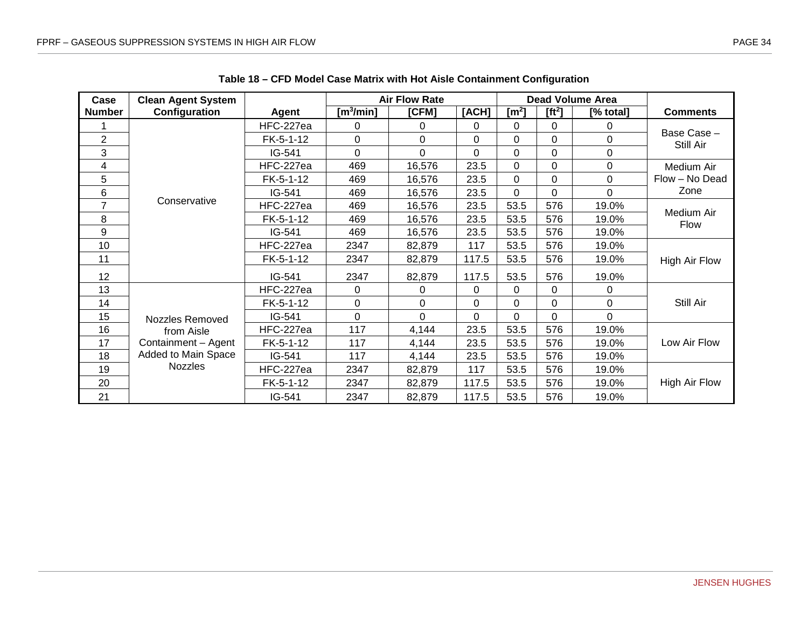<span id="page-41-0"></span>

| Case           | <b>Clean Agent System</b> |             |               | <b>Air Flow Rate</b> |          |                       |                    | Dead Volume Area |                           |
|----------------|---------------------------|-------------|---------------|----------------------|----------|-----------------------|--------------------|------------------|---------------------------|
| <b>Number</b>  | Configuration             | Agent       | [m $^3$ /min] | [CFM]                | [ACH]    | $\text{[m}^2\text{]}$ | [ft <sup>2</sup> ] | [% total]        | <b>Comments</b>           |
|                |                           | HFC-227ea   | $\Omega$      | 0                    | 0        | 0                     | 0                  | 0                |                           |
| $\overline{2}$ |                           | $FK-5-1-12$ | 0             | 0                    | $\Omega$ | 0                     | 0                  | 0                | Base Case-<br>Still Air   |
| 3              |                           | IG-541      | $\Omega$      | 0                    | $\Omega$ | $\Omega$              | $\Omega$           | 0                |                           |
| 4              |                           | HFC-227ea   | 469           | 16,576               | 23.5     | $\mathbf 0$           | 0                  | 0                | Medium Air                |
| 5              |                           | FK-5-1-12   | 469           | 16,576               | 23.5     | 0                     | $\mathbf 0$        | $\Omega$         | Flow - No Dead            |
| 6              |                           | IG-541      | 469           | 16,576               | 23.5     | $\mathbf 0$           | $\mathbf 0$        | 0                | Zone                      |
| 7              | Conservative              | HFC-227ea   | 469           | 16,576               | 23.5     | 53.5                  | 576                | 19.0%            |                           |
| 8              |                           | FK-5-1-12   | 469           | 16,576               | 23.5     | 53.5                  | 576                | 19.0%            | Medium Air<br><b>Flow</b> |
| 9              |                           | IG-541      | 469           | 16,576               | 23.5     | 53.5                  | 576                | 19.0%            |                           |
| 10             |                           | HFC-227ea   | 2347          | 82,879               | 117      | 53.5                  | 576                | 19.0%            |                           |
| 11             |                           | FK-5-1-12   | 2347          | 82,879               | 117.5    | 53.5                  | 576                | 19.0%            | High Air Flow             |
| 12             |                           | IG-541      | 2347          | 82,879               | 117.5    | 53.5                  | 576                | 19.0%            |                           |
| 13             |                           | HFC-227ea   | $\Omega$      | 0                    | 0        | 0                     | 0                  | 0                |                           |
| 14             |                           | $FK-5-1-12$ | $\Omega$      | 0                    | $\Omega$ | 0                     | $\mathbf 0$        | $\Omega$         | Still Air                 |
| 15             | Nozzles Removed           | IG-541      | $\Omega$      | 0                    | $\Omega$ | 0                     | $\Omega$           | $\Omega$         |                           |
| 16             | from Aisle                | HFC-227ea   | 117           | 4,144                | 23.5     | 53.5                  | 576                | 19.0%            |                           |
| 17             | Containment - Agent       | FK-5-1-12   | 117           | 4,144                | 23.5     | 53.5                  | 576                | 19.0%            | Low Air Flow              |
| 18             | Added to Main Space       | IG-541      | 117           | 4,144                | 23.5     | 53.5                  | 576                | 19.0%            |                           |
| 19             | Nozzles                   | HFC-227ea   | 2347          | 82,879               | 117      | 53.5                  | 576                | 19.0%            |                           |
| 20             |                           | FK-5-1-12   | 2347          | 82,879               | 117.5    | 53.5                  | 576                | 19.0%            | High Air Flow             |
| 21             |                           | IG-541      | 2347          | 82,879               | 117.5    | 53.5                  | 576                | 19.0%            |                           |

**Table 18 – CFD Model Case Matrix with Hot Aisle Containment Configuration**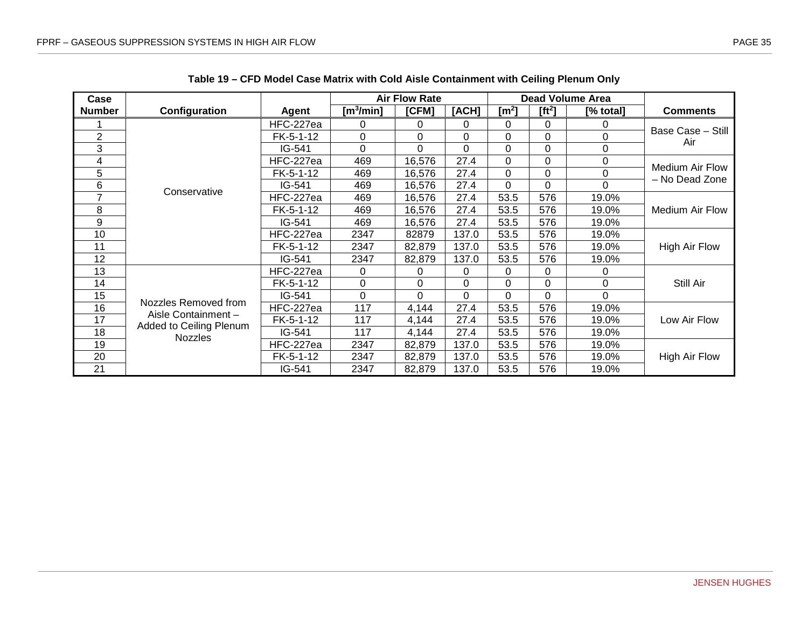<span id="page-42-0"></span>

| Case           |                                                                                          |             | <b>Air Flow Rate</b>  |        |          | <b>Dead Volume Area</b> |                |           |                                   |
|----------------|------------------------------------------------------------------------------------------|-------------|-----------------------|--------|----------|-------------------------|----------------|-----------|-----------------------------------|
| <b>Number</b>  | Configuration                                                                            | Agent       | [m <sup>3</sup> /min] | [CFM]  | [ACH]    | [m <sup>2</sup> ]       | $[ft^2]$       | [% total] | <b>Comments</b>                   |
|                | Conservative                                                                             | HFC-227ea   | 0                     | 0      | 0        | 0                       | 0              | 0         | Base Case - Still<br>Air          |
| 2              |                                                                                          | FK-5-1-12   | $\Omega$              | 0      | $\Omega$ | $\Omega$                | 0              | 0         |                                   |
| 3              |                                                                                          | IG-541      | $\Omega$              | 0      | $\Omega$ | 0                       | $\Omega$       | 0         |                                   |
| 4              |                                                                                          | HFC-227ea   | 469                   | 16,576 | 27.4     | 0                       | 0              | 0         | Medium Air Flow<br>- No Dead Zone |
| 5              |                                                                                          | FK-5-1-12   | 469                   | 16,576 | 27.4     | 0                       | $\overline{0}$ | 0         |                                   |
| 6              |                                                                                          | IG-541      | 469                   | 16,576 | 27.4     | 0                       | 0              | 0         |                                   |
| $\overline{7}$ |                                                                                          | HFC-227ea   | 469                   | 16,576 | 27.4     | 53.5                    | 576            | 19.0%     | Medium Air Flow                   |
| 8              |                                                                                          | $FK-5-1-12$ | 469                   | 16,576 | 27.4     | 53.5                    | 576            | 19.0%     |                                   |
| 9              |                                                                                          | IG-541      | 469                   | 16,576 | 27.4     | 53.5                    | 576            | 19.0%     |                                   |
| 10             |                                                                                          | HFC-227ea   | 2347                  | 82879  | 137.0    | 53.5                    | 576            | 19.0%     | High Air Flow                     |
| 11             |                                                                                          | FK-5-1-12   | 2347                  | 82,879 | 137.0    | 53.5                    | 576            | 19.0%     |                                   |
| 12             |                                                                                          | IG-541      | 2347                  | 82,879 | 137.0    | 53.5                    | 576            | 19.0%     |                                   |
| 13             | Nozzles Removed from<br>Aisle Containment -<br>Added to Ceiling Plenum<br><b>Nozzles</b> | HFC-227ea   | 0                     | 0      | 0        | 0                       | 0              | 0         | Still Air                         |
| 14             |                                                                                          | $FK-5-1-12$ | $\Omega$              | 0      | $\Omega$ | 0                       | 0              | 0         |                                   |
| 15             |                                                                                          | IG-541      | $\Omega$              | 0      | $\Omega$ | 0                       | 0              | 0         |                                   |
| 16             |                                                                                          | HFC-227ea   | 117                   | 4,144  | 27.4     | 53.5                    | 576            | 19.0%     | Low Air Flow                      |
| 17             |                                                                                          | FK-5-1-12   | 117                   | 4,144  | 27.4     | 53.5                    | 576            | 19.0%     |                                   |
| 18             |                                                                                          | IG-541      | 117                   | 4,144  | 27.4     | 53.5                    | 576            | 19.0%     |                                   |
| 19             |                                                                                          | HFC-227ea   | 2347                  | 82,879 | 137.0    | 53.5                    | 576            | 19.0%     | High Air Flow                     |
| 20             |                                                                                          | FK-5-1-12   | 2347                  | 82,879 | 137.0    | 53.5                    | 576            | 19.0%     |                                   |
| 21             |                                                                                          | $IG-541$    | 2347                  | 82,879 | 137.0    | 53.5                    | 576            | 19.0%     |                                   |

**Table 19 – CFD Model Case Matrix with Cold Aisle Containment with Ceiling Plenum Only**